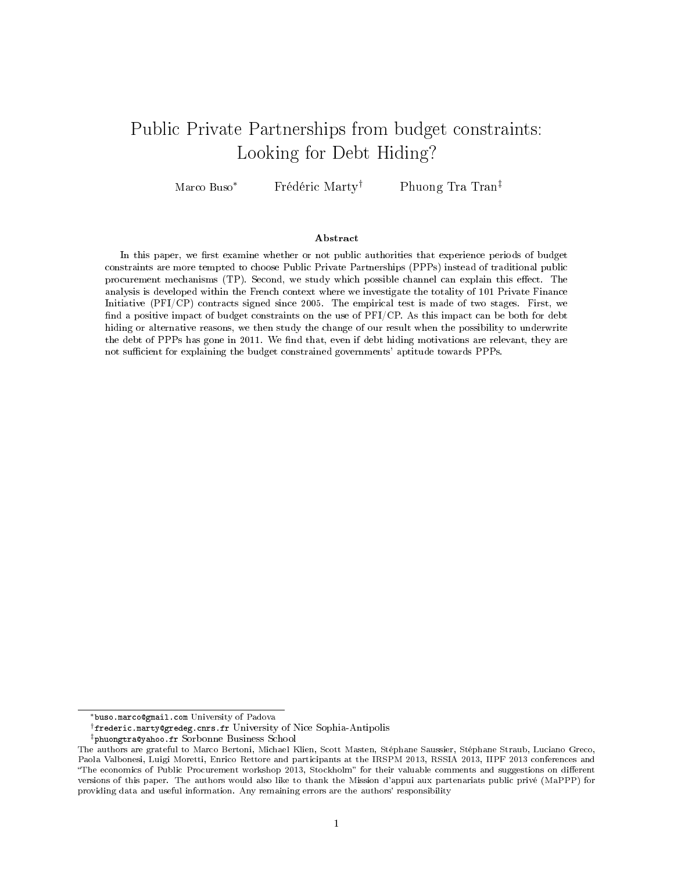# Public Private Partnerships from budget constraints: Looking for Debt Hiding?

Marco Buso<sup>∗</sup> Frédéric Marty<sup>†</sup> Phuong Tra Tran<sup>‡</sup>

#### Abstract

In this paper, we first examine whether or not public authorities that experience periods of budget constraints are more tempted to choose Public Private Partnerships (PPPs) instead of traditional public procurement mechanisms (TP). Second, we study which possible channel can explain this effect. The analysis is developed within the French context where we investigate the totality of 101 Private Finance Initiative (PFI/CP) contracts signed since 2005. The empirical test is made of two stages. First, we find a positive impact of budget constraints on the use of  $PFI/CP$ . As this impact can be both for debt hiding or alternative reasons, we then study the change of our result when the possibility to underwrite the debt of PPPs has gone in 2011. We find that, even if debt hiding motivations are relevant, they are not sufficient for explaining the budget constrained governments' aptitude towards PPPs.

<sup>∗</sup>buso.marco@gmail.com University of Padova

<sup>†</sup>frederic.marty@gredeg.cnrs.fr University of Nice Sophia-Antipolis

<sup>‡</sup>phuongtra@yahoo.fr Sorbonne Business School

The authors are grateful to Marco Bertoni, Michael Klien, Scott Masten, Stéphane Saussier, Stéphane Straub, Luciano Greco, Paola Valbonesi, Luigi Moretti, Enrico Rettore and participants at the IRSPM 2013, RSSIA 2013, IIPF 2013 conferences and "The economics of Public Procurement workshop 2013, Stockholm" for their valuable comments and suggestions on different versions of this paper. The authors would also like to thank the Mission d'appui aux partenariats public privé (MaPPP) for providing data and useful information. Any remaining errors are the authors' responsibility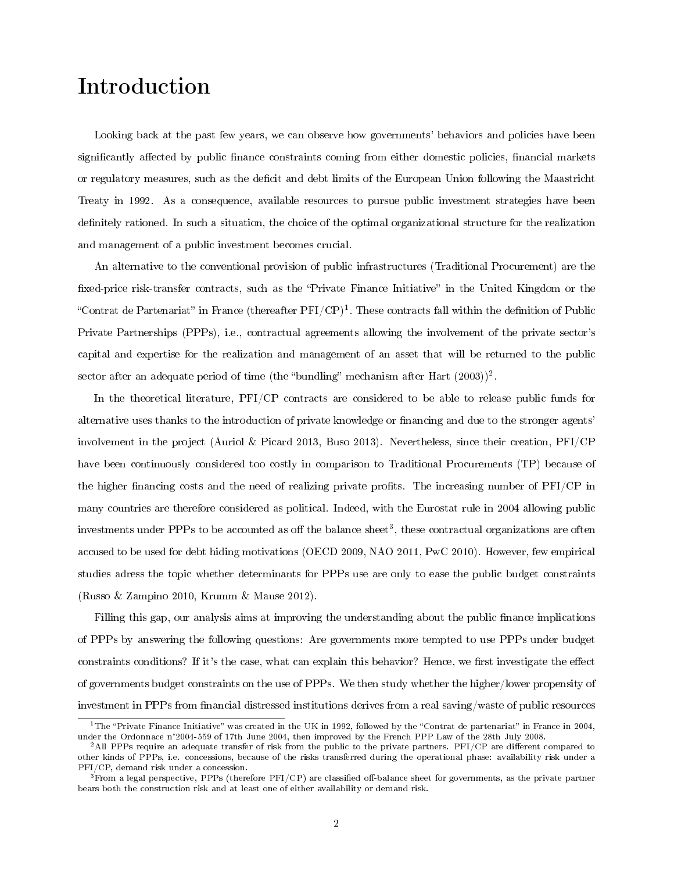# Introduction

Looking back at the past few years, we can observe how governments' behaviors and policies have been significantly affected by public finance constraints coming from either domestic policies, financial markets or regulatory measures, such as the decit and debt limits of the European Union following the Maastricht Treaty in 1992. As a consequence, available resources to pursue public investment strategies have been definitely rationed. In such a situation, the choice of the optimal organizational structure for the realization and management of a public investment becomes crucial.

An alternative to the conventional provision of public infrastructures (Traditional Procurement) are the fixed-price risk-transfer contracts, such as the "Private Finance Initiative" in the United Kingdom or the "Contrat de Partenariat" in France (thereafter  $\rm{PFI/CP)^1}$ . These contracts fall within the definition of Public Private Partnerships (PPPs), i.e., contractual agreements allowing the involvement of the private sector's capital and expertise for the realization and management of an asset that will be returned to the public sector after an adequate period of time (the "bundling" mechanism after Hart  $(2003))^2$ .

In the theoretical literature, PFI/CP contracts are considered to be able to release public funds for alternative uses thanks to the introduction of private knowledge or financing and due to the stronger agents' involvement in the project (Auriol & Picard 2013, Buso 2013). Nevertheless, since their creation, PFI/CP have been continuously considered too costly in comparison to Traditional Procurements (TP) because of the higher financing costs and the need of realizing private profits. The increasing number of  $PFI/CP$  in many countries are therefore considered as political. Indeed, with the Eurostat rule in 2004 allowing public investments under PPPs to be accounted as off the balance sheet<sup>3</sup>, these contractual organizations are often accused to be used for debt hiding motivations (OECD 2009, NAO 2011, PwC 2010). However, few empirical studies adress the topic whether determinants for PPPs use are only to ease the public budget constraints (Russo & Zampino 2010, Krumm & Mause 2012).

Filling this gap, our analysis aims at improving the understanding about the public finance implications of PPPs by answering the following questions: Are governments more tempted to use PPPs under budget constraints conditions? If it's the case, what can explain this behavior? Hence, we first investigate the effect of governments budget constraints on the use of PPPs. We then study whether the higher/lower propensity of investment in PPPs from financial distressed institutions derives from a real saving/waste of public resources

<sup>&</sup>lt;sup>1</sup>The "Private Finance Initiative" was created in the UK in 1992, followed by the "Contrat de partenariat" in France in 2004,<br>under the Ordonnace n°2004-559 of 17th June 2004, then improved by the French PPP Law of the 28 under the Ordonnace n°2004-559 of 17th June 2004, then improved by the French PPP Law of the 28th July 2008.<br><sup>2</sup>All PPPs require an adequate transfer of risk from the public to the private partners. PFI/CP are different c

other kinds of PPPs, i.e. concessions, because of the risks transferred during the operational phase: availability risk under a PFI/CP, demand risk under a concession.

 $3$ From a legal perspective, PPPs (therefore PFI/CP) are classified off-balance sheet for governments, as the private partner bears both the construction risk and at least one of either availability or demand risk.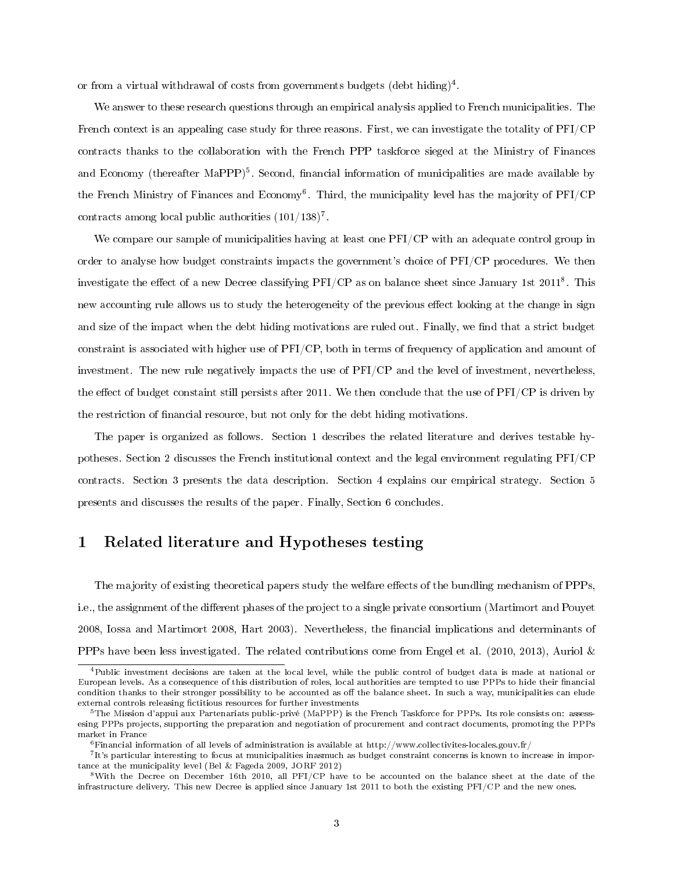or from a virtual withdrawal of costs from governments budgets (debt hiding)<sup>4</sup>.

We answer to these research questions through an empirical analysis applied to French municipalities. The French context is an appealing case study for three reasons. First, we can investigate the totality of PFI/CP contracts thanks to the collaboration with the French PPP taskforce sieged at the Ministry of Finances and Economy (thereafter MaPPP)<sup>5</sup>. Second, financial information of municipalities are made available by the French Ministry of Finances and Economy<sup>6</sup>. Third, the municipality level has the majority of PFI/CP contracts among local public authorities  $(101/138)^7$ .

We compare our sample of municipalities having at least one  $PFI/CP$  with an adequate control group in order to analyse how budget constraints impacts the government's choice of PFI/CP procedures. We then investigate the effect of a new Decree classifying PFI/CP as on balance sheet since January 1st  $2011^8$ . This new accounting rule allows us to study the heterogeneity of the previous effect looking at the change in sign and size of the impact when the debt hiding motivations are ruled out. Finally, we find that a strict budget constraint is associated with higher use of PFI/CP, both in terms of frequency of application and amount of investment. The new rule negatively impacts the use of PFI/CP and the level of investment, nevertheless, the effect of budget constaint still persists after 2011. We then conclude that the use of  $PFI/CP$  is driven by the restriction of nancial resource, but not only for the debt hiding motivations.

The paper is organized as follows. Section 1 describes the related literature and derives testable hypotheses. Section 2 discusses the French institutional context and the legal environment regulating PFI/CP contracts. Section 3 presents the data description. Section 4 explains our empirical strategy. Section 5 presents and discusses the results of the paper. Finally, Section 6 concludes.

### 1 Related literature and Hypotheses testing

The majority of existing theoretical papers study the welfare effects of the bundling mechanism of PPPs, i.e., the assignment of the different phases of the project to a single private consortium (Martimort and Pouyet 2008, Iossa and Martimort 2008, Hart 2003). Nevertheless, the financial implications and determinants of PPPs have been less investigated. The related contributions come from Engel et al. (2010, 2013), Auriol &

<sup>4</sup>Public investment decisions are taken at the local level, while the public control of budget data is made at national or European levels. As a consequence of this distribution of roles, local authorities are tempted to use PPPs to hide their financial condition thanks to their stronger possibility to be accounted as off the balance sheet. In such a way, municipalities can elude external controls releasing fictitious resources for further investments

<sup>5</sup>The Mission d'appui aux Partenariats public-privé (MaPPP) is the French Taskforce for PPPs. Its role consists on: assessesing PPPs projects, supporting the preparation and negotiation of procurement and contract documents, promoting the PPPs market in France

 $6$ Financial information of all levels of administration is available at http://www.collectivites-locales.gouv.fr/

<sup>&</sup>lt;sup>7</sup>It's particular interesting to focus at municipalities inasmuch as budget constraint concerns is known to increase in importance at the municipality level (Bel & Fageda 2009, JORF 2012)

<sup>8</sup>With the Decree on December 16th 2010, all PFI/CP have to be accounted on the balance sheet at the date of the infrastructure delivery. This new Decree is applied since January 1st 2011 to both the existing PFI/CP and the new ones.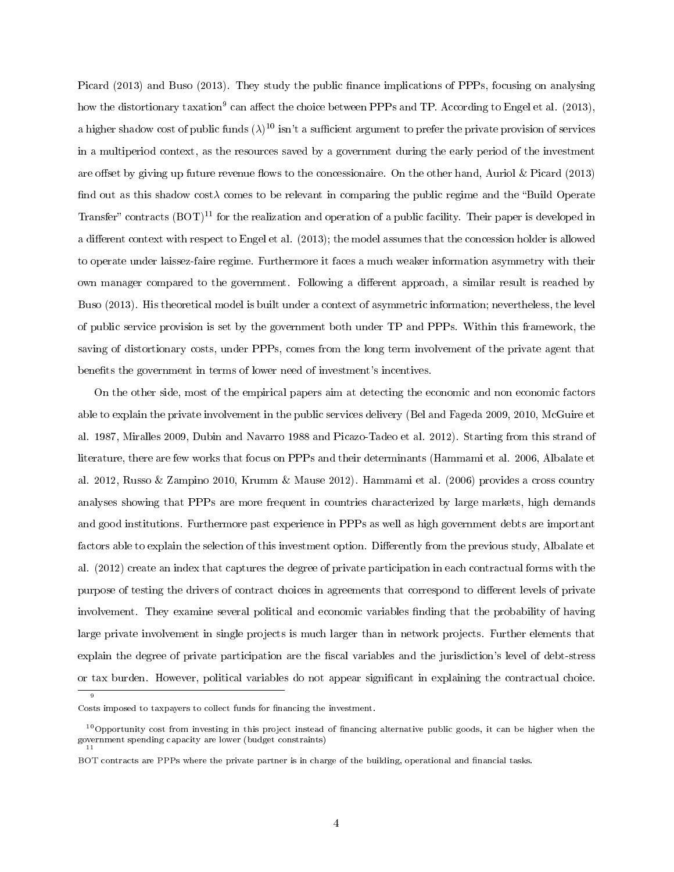Picard (2013) and Buso (2013). They study the public finance implications of PPPs, focusing on analysing how the distortionary taxation<sup>9</sup> can affect the choice between PPPs and TP. According to Engel et al. (2013), a higher shadow cost of public funds  $(\lambda)^{10}$  isn't a sufficient argument to prefer the private provision of services in a multiperiod context, as the resources saved by a government during the early period of the investment are offset by giving up future revenue flows to the concessionaire. On the other hand, Auriol & Picard (2013) find out as this shadow cost $\lambda$  comes to be relevant in comparing the public regime and the "Build Operate" Transfer" contracts  $(BOT)^{11}$  for the realization and operation of a public facility. Their paper is developed in a different context with respect to Engel et al. (2013); the model assumes that the concession holder is allowed to operate under laissez-faire regime. Furthermore it faces a much weaker information asymmetry with their own manager compared to the government. Following a different approach, a similar result is reached by Buso (2013). His theoretical model is built under a context of asymmetric information; nevertheless, the level of public service provision is set by the government both under TP and PPPs. Within this framework, the saving of distortionary costs, under PPPs, comes from the long term involvement of the private agent that benefits the government in terms of lower need of investment's incentives.

On the other side, most of the empirical papers aim at detecting the economic and non economic factors able to explain the private involvement in the public services delivery (Bel and Fageda 2009, 2010, McGuire et al. 1987, Miralles 2009, Dubin and Navarro 1988 and Picazo-Tadeo et al. 2012). Starting from this strand of literature, there are few works that focus on PPPs and their determinants (Hammami et al. 2006, Albalate et al. 2012, Russo & Zampino 2010, Krumm & Mause 2012). Hammami et al. (2006) provides a cross country analyses showing that PPPs are more frequent in countries characterized by large markets, high demands and good institutions. Furthermore past experience in PPPs as well as high government debts are important factors able to explain the selection of this investment option. Differently from the previous study, Albalate et al. (2012) create an index that captures the degree of private participation in each contractual forms with the purpose of testing the drivers of contract choices in agreements that correspond to different levels of private involvement. They examine several political and economic variables finding that the probability of having large private involvement in single projects is much larger than in network projects. Further elements that explain the degree of private participation are the fiscal variables and the jurisdiction's level of debt-stress or tax burden. However, political variables do not appear signicant in explaining the contractual choice.

9

Costs imposed to taxpayers to collect funds for financing the investment.

 $10$ Opportunity cost from investing in this project instead of financing alternative public goods, it can be higher when the government spending capacity are lower (budget constraints) 11

BOT contracts are PPPs where the private partner is in charge of the building, operational and financial tasks.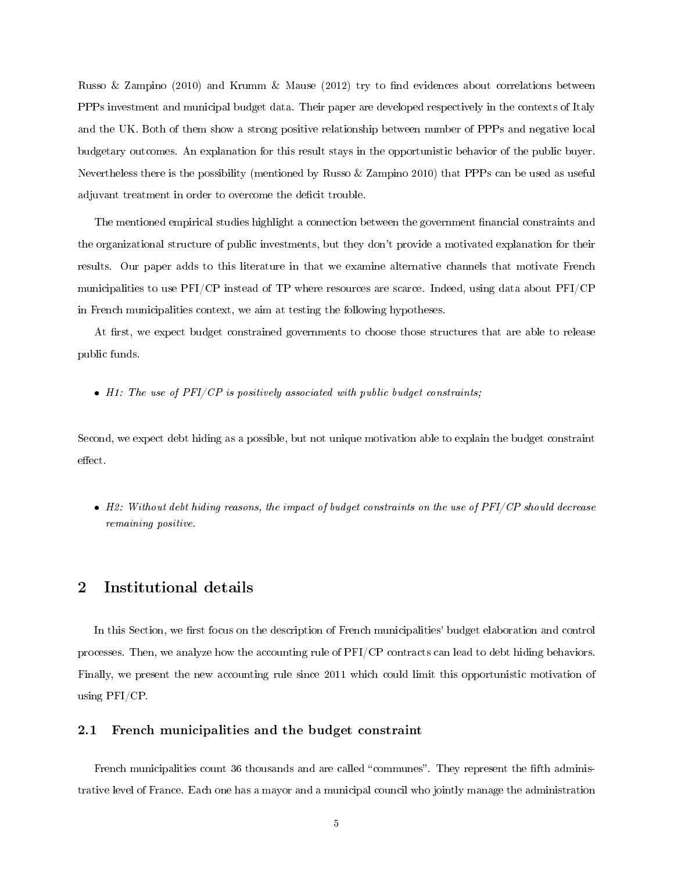Russo & Zampino (2010) and Krumm & Mause (2012) try to find evidences about correlations between PPPs investment and municipal budget data. Their paper are developed respectively in the contexts of Italy and the UK. Both of them show a strong positive relationship between number of PPPs and negative local budgetary outcomes. An explanation for this result stays in the opportunistic behavior of the public buyer. Nevertheless there is the possibility (mentioned by Russo & Zampino 2010) that PPPs can be used as useful adjuvant treatment in order to overcome the deficit trouble.

The mentioned empirical studies highlight a connection between the government financial constraints and the organizational structure of public investments, but they don't provide a motivated explanation for their results. Our paper adds to this literature in that we examine alternative channels that motivate French municipalities to use PFI/CP instead of TP where resources are scarce. Indeed, using data about PFI/CP in French municipalities context, we aim at testing the following hypotheses.

At first, we expect budget constrained governments to choose those structures that are able to release public funds.

 $\bullet$  H1: The use of PFI/CP is positively associated with public budget constraints;

Second, we expect debt hiding as a possible, but not unique motivation able to explain the budget constraint effect.

• H2: Without debt hiding reasons, the impact of budget constraints on the use of PFI/CP should decrease remaining positive.

### 2 Institutional details

In this Section, we first focus on the description of French municipalities' budget elaboration and control processes. Then, we analyze how the accounting rule of PFI/CP contracts can lead to debt hiding behaviors. Finally, we present the new accounting rule since 2011 which could limit this opportunistic motivation of using PFI/CP.

#### 2.1 French municipalities and the budget constraint

French municipalities count 36 thousands and are called "communes". They represent the fifth administrative level of France. Each one has a mayor and a municipal council who jointly manage the administration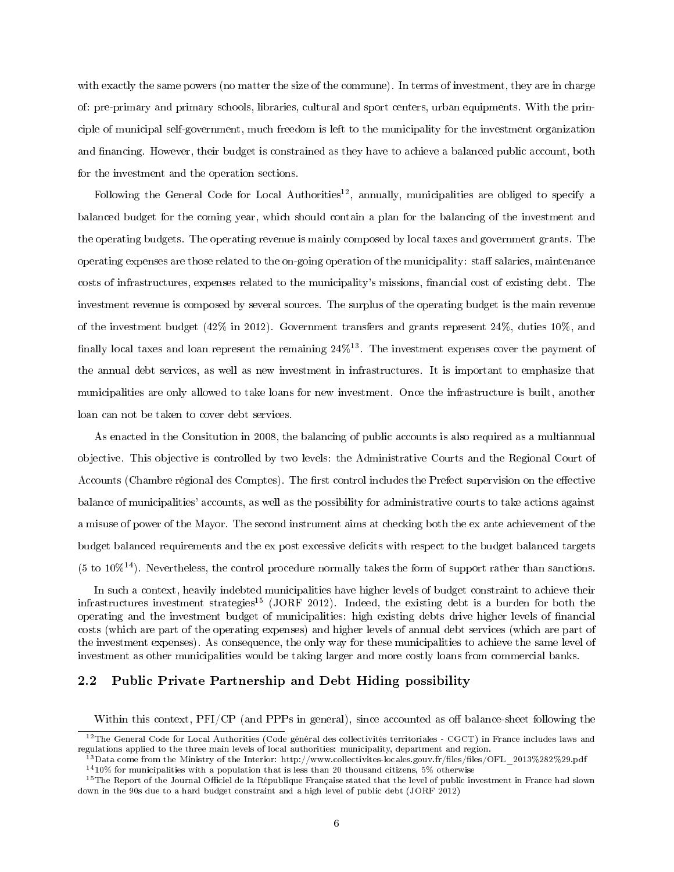with exactly the same powers (no matter the size of the commune). In terms of investment, they are in charge of: pre-primary and primary schools, libraries, cultural and sport centers, urban equipments. With the principle of municipal self-government, much freedom is left to the municipality for the investment organization and financing. However, their budget is constrained as they have to achieve a balanced public account, both for the investment and the operation sections.

Following the General Code for Local Authorities<sup>12</sup>, annually, municipalities are obliged to specify a balanced budget for the coming year, which should contain a plan for the balancing of the investment and the operating budgets. The operating revenue is mainly composed by local taxes and government grants. The operating expenses are those related to the on-going operation of the municipality: staff salaries, maintenance costs of infrastructures, expenses related to the municipality's missions, financial cost of existing debt. The investment revenue is composed by several sources. The surplus of the operating budget is the main revenue of the investment budget (42% in 2012). Government transfers and grants represent 24%, duties 10%, and finally local taxes and loan represent the remaining  $24\%^{13}$ . The investment expenses cover the payment of the annual debt services, as well as new investment in infrastructures. It is important to emphasize that municipalities are only allowed to take loans for new investment. Once the infrastructure is built, another loan can not be taken to cover debt services.

As enacted in the Consitution in 2008, the balancing of public accounts is also required as a multiannual objective. This objective is controlled by two levels: the Administrative Courts and the Regional Court of Accounts (Chambre régional des Comptes). The first control includes the Prefect supervision on the effective balance of municipalities' accounts, as well as the possibility for administrative courts to take actions against a misuse of power of the Mayor. The second instrument aims at checking both the ex ante achievement of the budget balanced requirements and the ex post excessive deficits with respect to the budget balanced targets  $(5 \text{ to } 10\%)$ <sup>14</sup>). Nevertheless, the control procedure normally takes the form of support rather than sanctions.

In such a context, heavily indebted municipalities have higher levels of budget constraint to achieve their infrastructures investment strategies<sup>15</sup> (JORF 2012). Indeed, the existing debt is a burden for both the operating and the investment budget of municipalities: high existing debts drive higher levels of nancial costs (which are part of the operating expenses) and higher levels of annual debt services (which are part of the investment expenses). As consequence, the only way for these municipalities to achieve the same level of investment as other municipalities would be taking larger and more costly loans from commercial banks.

#### 2.2 Public Private Partnership and Debt Hiding possibility

Within this context,  $\text{PFI/CP}$  (and  $\text{PPPs}$  in general), since accounted as off balance-sheet following the

 $12$ The General Code for Local Authorities (Code général des collectivités territoriales - CGCT) in France includes laws and regulations applied to the three main levels of local authorities: municipality, department and region.

 $^{13}$ Data come from the Ministry of the Interior: http://www.collectivites-locales.gouv.fr/files/files/OFL\_2013%282%29.pdf

<sup>14</sup>10% for municipalities with a population that is less than 20 thousand citizens, 5% otherwise

<sup>&</sup>lt;sup>15</sup>The Report of the Journal Officiel de la République Française stated that the level of public investment in France had slown down in the 90s due to a hard budget constraint and a high level of public debt (JORF 2012)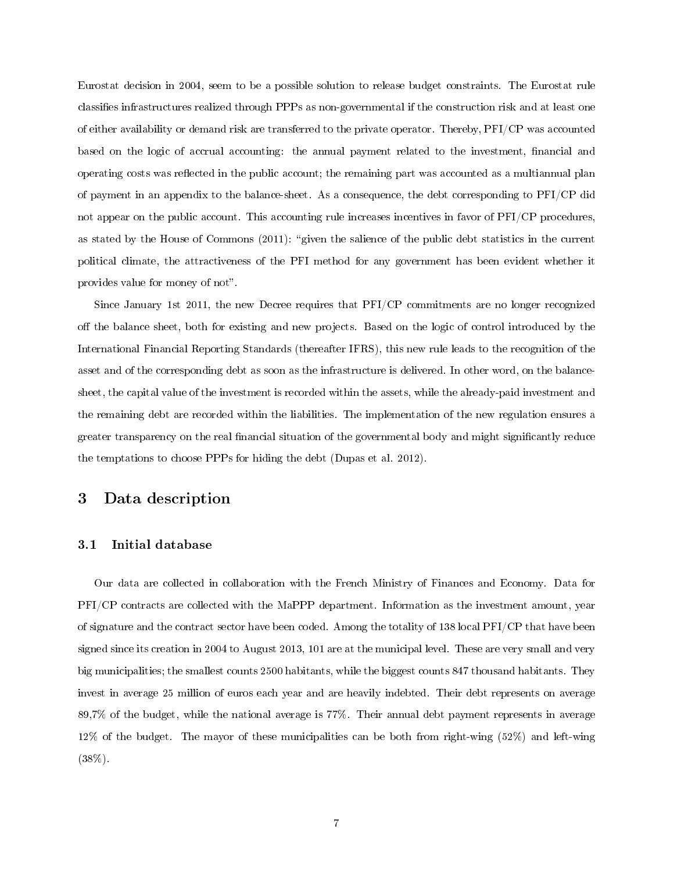Eurostat decision in 2004, seem to be a possible solution to release budget constraints. The Eurostat rule classifies infrastructures realized through PPPs as non-governmental if the construction risk and at least one of either availability or demand risk are transferred to the private operator. Thereby, PFI/CP was accounted based on the logic of accrual accounting: the annual payment related to the investment, financial and operating costs was reflected in the public account; the remaining part was accounted as a multiannual plan of payment in an appendix to the balance-sheet. As a consequence, the debt corresponding to PFI/CP did not appear on the public account. This accounting rule increases incentives in favor of PFI/CP procedures, as stated by the House of Commons (2011): "given the salience of the public debt statistics in the current political climate, the attractiveness of the PFI method for any government has been evident whether it provides value for money of not".

Since January 1st 2011, the new Decree requires that PFI/CP commitments are no longer recognized off the balance sheet, both for existing and new projects. Based on the logic of control introduced by the International Financial Reporting Standards (thereafter IFRS), this new rule leads to the recognition of the asset and of the corresponding debt as soon as the infrastructure is delivered. In other word, on the balancesheet, the capital value of the investment is recorded within the assets, while the already-paid investment and the remaining debt are recorded within the liabilities. The implementation of the new regulation ensures a greater transparency on the real nancial situation of the governmental body and might signicantly reduce the temptations to choose PPPs for hiding the debt (Dupas et al. 2012).

### 3 Data description

#### 3.1 Initial database

Our data are collected in collaboration with the French Ministry of Finances and Economy. Data for PFI/CP contracts are collected with the MaPPP department. Information as the investment amount, year of signature and the contract sector have been coded. Among the totality of 138 local PFI/CP that have been signed since its creation in 2004 to August 2013, 101 are at the municipal level. These are very small and very big municipalities; the smallest counts 2500 habitants, while the biggest counts 847 thousand habitants. They invest in average 25 million of euros each year and are heavily indebted. Their debt represents on average 89,7% of the budget, while the national average is 77%. Their annual debt payment represents in average 12% of the budget. The mayor of these municipalities can be both from right-wing (52%) and left-wing (38%).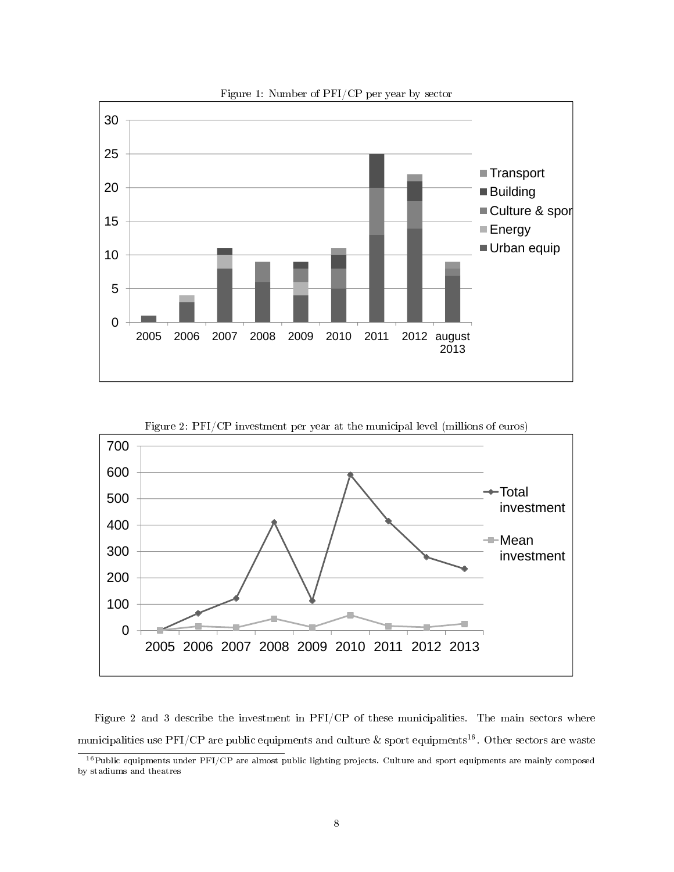



Figure 2 and 3 describe the investment in PFI/CP of these municipalities. The main sectors where municipalities use PFI/CP are public equipments and culture  $\&$  sport equipments<sup>16</sup>. Other sectors are waste

<sup>&</sup>lt;sup>16</sup>Public equipments under PFI/CP are almost public lighting projects. Culture and sport equipments are mainly composed by stadiums and theatres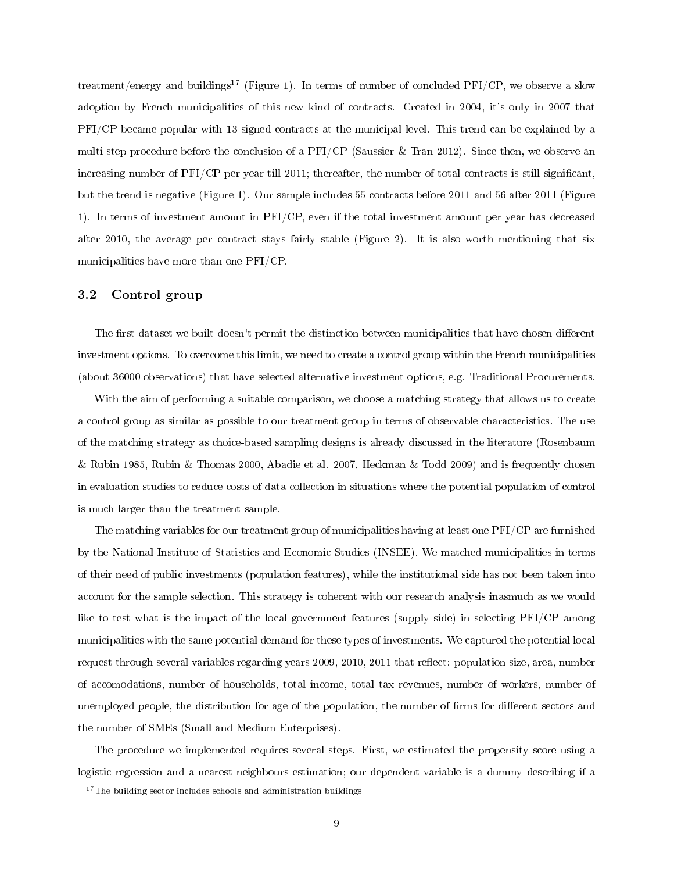treatment/energy and buildings<sup>17</sup> (Figure 1). In terms of number of concluded PFI/CP, we observe a slow adoption by French municipalities of this new kind of contracts. Created in 2004, it's only in 2007 that PFI/CP became popular with 13 signed contracts at the municipal level. This trend can be explained by a multi-step procedure before the conclusion of a  $PFI/CP$  (Saussier & Tran 2012). Since then, we observe an increasing number of PFI/CP per year till 2011; thereafter, the number of total contracts is still significant, but the trend is negative (Figure 1). Our sample includes 55 contracts before 2011 and 56 after 2011 (Figure 1). In terms of investment amount in PFI/CP, even if the total investment amount per year has decreased after 2010, the average per contract stays fairly stable (Figure 2). It is also worth mentioning that six municipalities have more than one PFI/CP.

#### 3.2 Control group

The first dataset we built doesn't permit the distinction between municipalities that have chosen different investment options. To overcome this limit, we need to create a control group within the French municipalities (about 36000 observations) that have selected alternative investment options, e.g. Traditional Procurements.

With the aim of performing a suitable comparison, we choose a matching strategy that allows us to create a control group as similar as possible to our treatment group in terms of observable characteristics. The use of the matching strategy as choice-based sampling designs is already discussed in the literature (Rosenbaum & Rubin 1985, Rubin & Thomas 2000, Abadie et al. 2007, Heckman & Todd 2009) and is frequently chosen in evaluation studies to reduce costs of data collection in situations where the potential population of control is much larger than the treatment sample.

The matching variables for our treatment group of municipalities having at least one PFI/CP are furnished by the National Institute of Statistics and Economic Studies (INSEE). We matched municipalities in terms of their need of public investments (population features), while the institutional side has not been taken into account for the sample selection. This strategy is coherent with our research analysis inasmuch as we would like to test what is the impact of the local government features (supply side) in selecting PFI/CP among municipalities with the same potential demand for these types of investments. We captured the potential local request through several variables regarding years 2009, 2010, 2011 that reflect: population size, area, number of accomodations, number of households, total income, total tax revenues, number of workers, number of unemployed people, the distribution for age of the population, the number of firms for different sectors and the number of SMEs (Small and Medium Enterprises).

The procedure we implemented requires several steps. First, we estimated the propensity score using a logistic regression and a nearest neighbours estimation; our dependent variable is a dummy describing if a

<sup>&</sup>lt;sup>17</sup>The building sector includes schools and administration buildings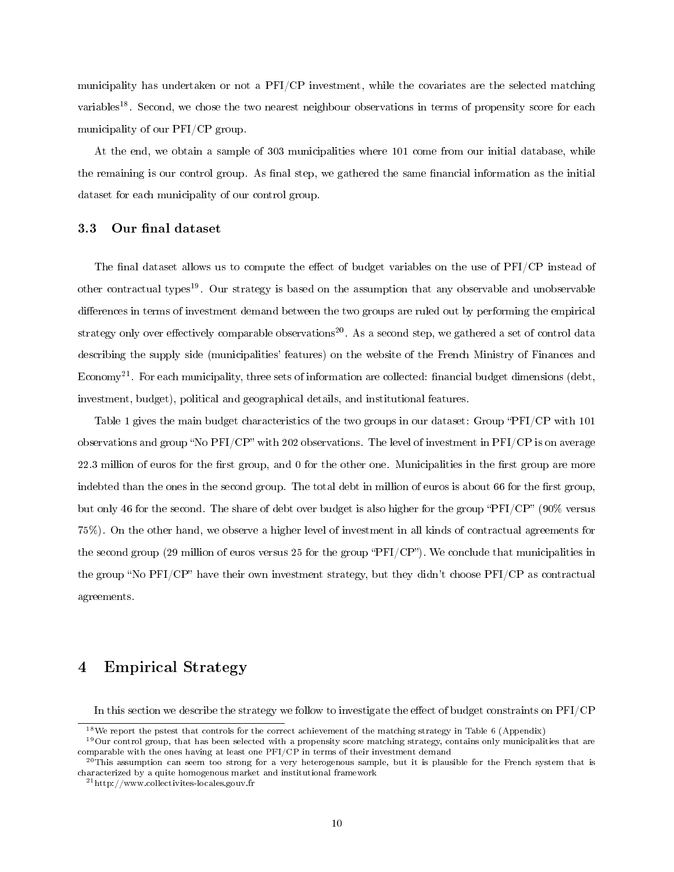municipality has undertaken or not a PFI/CP investment, while the covariates are the selected matching variables<sup>18</sup>. Second, we chose the two nearest neighbour observations in terms of propensity score for each municipality of our PFI/CP group.

At the end, we obtain a sample of 303 municipalities where 101 come from our initial database, while the remaining is our control group. As final step, we gathered the same financial information as the initial dataset for each municipality of our control group.

#### 3.3 Our final dataset

The final dataset allows us to compute the effect of budget variables on the use of PFI/CP instead of other contractual types<sup>19</sup>. Our strategy is based on the assumption that any observable and unobservable differences in terms of investment demand between the two groups are ruled out by performing the empirical strategy only over effectively comparable observations<sup>20</sup>. As a second step, we gathered a set of control data describing the supply side (municipalities' features) on the website of the French Ministry of Finances and Economy<sup>21</sup>. For each municipality, three sets of information are collected: financial budget dimensions (debt, investment, budget), political and geographical details, and institutional features.

Table 1 gives the main budget characteristics of the two groups in our dataset: Group "PFI/CP with 101" observations and group "No PFI/CP" with 202 observations. The level of investment in PFI/CP is on average 22.3 million of euros for the first group, and 0 for the other one. Municipalities in the first group are more indebted than the ones in the second group. The total debt in million of euros is about 66 for the first group, but only 46 for the second. The share of debt over budget is also higher for the group "PFI/CP" (90% versus 75%). On the other hand, we observe a higher level of investment in all kinds of contractual agreements for the second group (29 million of euros versus 25 for the group " $\text{PFI/CP}$ "). We conclude that municipalities in the group "No PFI/CP" have their own investment strategy, but they didn't choose PFI/CP as contractual agreements.

## 4 Empirical Strategy

In this section we describe the strategy we follow to investigate the effect of budget constraints on  $PFI/CP$ 

 $18$ We report the pstest that controls for the correct achievement of the matching strategy in Table 6 (Appendix)

 $19$ Our control group, that has been selected with a propensity score matching strategy, contains only municipalities that are comparable with the ones having at least one PFI/CP in terms of their investment demand

 $^{20}$ This assumption can seem too strong for a very heterogenous sample, but it is plausible for the French system that is characterized by a quite homogenous market and institutional framework

<sup>21</sup>http://www.collectivites-locales.gouv.fr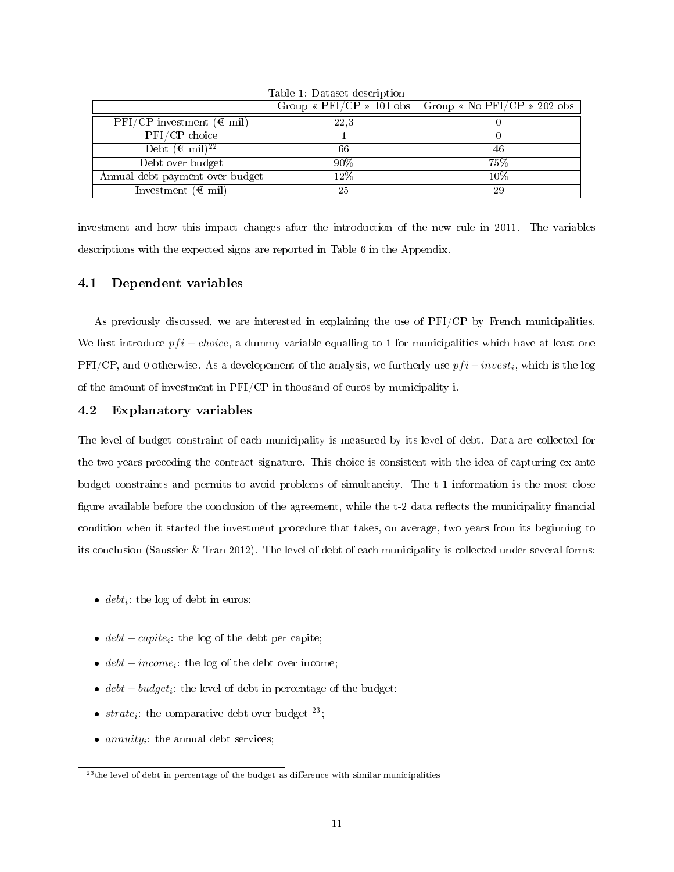|                                                         |        | Group « $\text{PFI/CP}$ » 101 obs   Group « No $\text{PFI/CP}$ » 202 obs |
|---------------------------------------------------------|--------|--------------------------------------------------------------------------|
| $\mathrm{PFI}/\mathrm{CP}$ investment ( $\epsilon$ mil) | 22.3   |                                                                          |
| PFI/CP choice                                           |        |                                                                          |
| Debt $(\mathbb{C} \text{ mil})^{22}$                    | 66     | 46                                                                       |
| Debt over budget                                        | 90%    | 75%                                                                      |
| Annual debt payment over budget                         | $12\%$ | 10%                                                                      |
| Investment ( $\epsilon$ mil)                            | 25     | 29                                                                       |

Table 1: Dataset description

investment and how this impact changes after the introduction of the new rule in 2011. The variables descriptions with the expected signs are reported in Table 6 in the Appendix.

#### 4.1 Dependent variables

As previously discussed, we are interested in explaining the use of PFI/CP by French municipalities. We first introduce  $pfi - choice$ , a dummy variable equalling to 1 for municipalities which have at least one PFI/CP, and 0 otherwise. As a developement of the analysis, we furtherly use  $pfi - invest_i$ , which is the log of the amount of investment in PFI/CP in thousand of euros by municipality i.

#### 4.2 Explanatory variables

The level of budget constraint of each municipality is measured by its level of debt. Data are collected for the two years preceding the contract signature. This choice is consistent with the idea of capturing ex ante budget constraints and permits to avoid problems of simultaneity. The t-1 information is the most close figure available before the conclusion of the agreement, while the t-2 data reflects the municipality financial condition when it started the investment procedure that takes, on average, two years from its beginning to its conclusion (Saussier & Tran 2012). The level of debt of each municipality is collected under several forms:

- $\bullet$  *debt<sub>i</sub>*: the log of debt in euros;
- $debt capite_i$ : the log of the debt per capite;
- $debt income_i$ : the log of the debt over income;
- $debt budget_i$ : the level of debt in percentage of the budget;
- $strate_i$ : the comparative debt over budget  $23$ ;
- $\bullet$  annuity<sub>i</sub>: the annual debt services;

 $^{23}$ the level of debt in percentage of the budget as difference with similar municipalities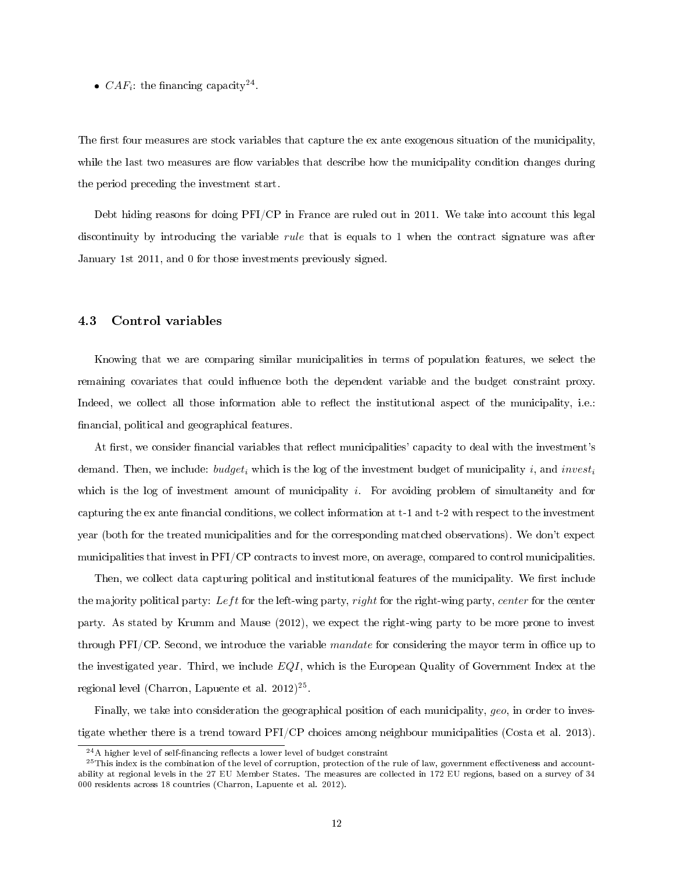•  $CAF_i$ : the financing capacity<sup>24</sup>.

The first four measures are stock variables that capture the ex ante exogenous situation of the municipality, while the last two measures are flow variables that describe how the municipality condition changes during the period preceding the investment start.

Debt hiding reasons for doing PFI/CP in France are ruled out in 2011. We take into account this legal discontinuity by introducing the variable rule that is equals to 1 when the contract signature was after January 1st 2011, and 0 for those investments previously signed.

#### 4.3 Control variables

Knowing that we are comparing similar municipalities in terms of population features, we select the remaining covariates that could influence both the dependent variable and the budget constraint proxy. Indeed, we collect all those information able to reflect the institutional aspect of the municipality, i.e.: nancial, political and geographical features.

At first, we consider financial variables that reflect municipalities' capacity to deal with the investment's demand. Then, we include:  $budget_i$  which is the log of the investment budget of municipality i, and investigation which is the log of investment amount of municipality  $i$ . For avoiding problem of simultaneity and for capturing the ex ante financial conditions, we collect information at t-1 and t-2 with respect to the investment year (both for the treated municipalities and for the corresponding matched observations). We don't expect municipalities that invest in PFI/CP contracts to invest more, on average, compared to control municipalities.

Then, we collect data capturing political and institutional features of the municipality. We first include the majority political party: Left for the left-wing party, right for the right-wing party, center for the center party. As stated by Krumm and Mause (2012), we expect the right-wing party to be more prone to invest through PFI/CP. Second, we introduce the variable mandate for considering the mayor term in office up to the investigated year. Third, we include  $EQI$ , which is the European Quality of Government Index at the regional level (Charron, Lapuente et al. 2012)<sup>25</sup>.

Finally, we take into consideration the geographical position of each municipality, geo, in order to investigate whether there is a trend toward PFI/CP choices among neighbour municipalities (Costa et al. 2013).

 $24A$  higher level of self-financing reflects a lower level of budget constraint

 $^{25}$ This index is the combination of the level of corruption, protection of the rule of law, government effectiveness and accountability at regional levels in the 27 EU Member States. The measures are collected in 172 EU regions, based on a survey of 34 000 residents across 18 countries (Charron, Lapuente et al. 2012).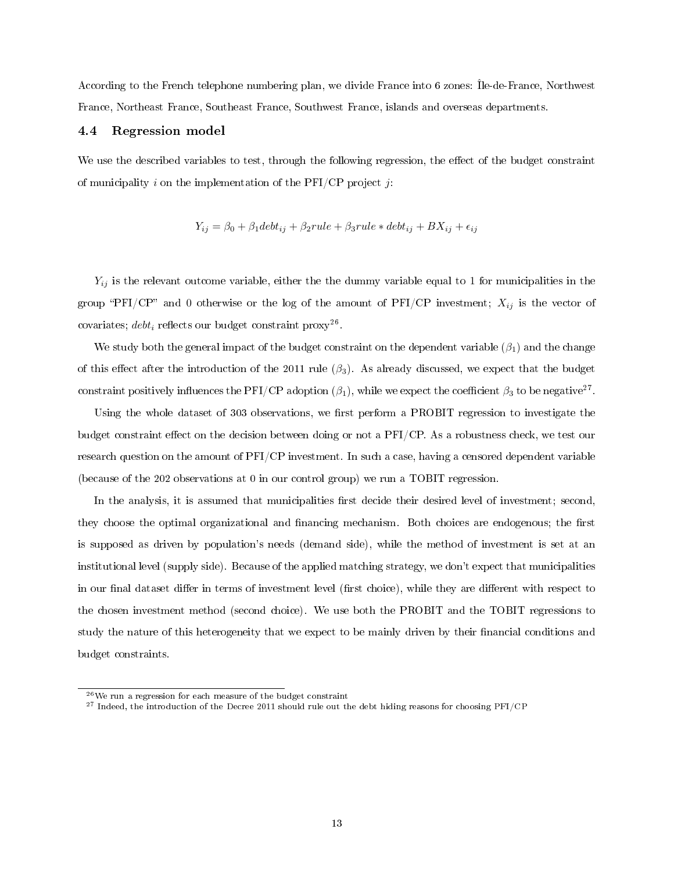According to the French telephone numbering plan, we divide France into 6 zones: Île-de-France, Northwest France, Northeast France, Southeast France, Southwest France, islands and overseas departments.

#### 4.4 Regression model

We use the described variables to test, through the following regression, the effect of the budget constraint of municipality i on the implementation of the PFI/CP project j:

$$
Y_{ij} = \beta_0 + \beta_1 debt_{ij} + \beta_2 rule + \beta_3 rule * debt_{ij} + BX_{ij} + \epsilon_{ij}
$$

 $Y_{ij}$  is the relevant outcome variable, either the the dummy variable equal to 1 for municipalities in the group "PFI/CP" and 0 otherwise or the log of the amount of PFI/CP investment;  $X_{ij}$  is the vector of covariates;  $debt_i$  reflects our budget constraint proxy<sup>26</sup>.

We study both the general impact of the budget constraint on the dependent variable  $(\beta_1)$  and the change of this effect after the introduction of the 2011 rule  $(\beta_3)$ . As already discussed, we expect that the budget constraint positively influences the PFI/CP adoption  $(\beta_1)$ , while we expect the coefficient  $\beta_3$  to be negative<sup>27</sup>.

Using the whole dataset of 303 observations, we first perform a PROBIT regression to investigate the budget constraint effect on the decision between doing or not a PFI/CP. As a robustness check, we test our research question on the amount of PFI/CP investment. In such a case, having a censored dependent variable (because of the 202 observations at 0 in our control group) we run a TOBIT regression.

In the analysis, it is assumed that municipalities first decide their desired level of investment; second, they choose the optimal organizational and financing mechanism. Both choices are endogenous; the first is supposed as driven by population's needs (demand side), while the method of investment is set at an institutional level (supply side). Because of the applied matching strategy, we don't expect that municipalities in our final dataset differ in terms of investment level (first choice), while they are different with respect to the chosen investment method (second choice). We use both the PROBIT and the TOBIT regressions to study the nature of this heterogeneity that we expect to be mainly driven by their financial conditions and budget constraints.

 $^{26}\mathrm{We}$  run a regression for each measure of the budget constraint

<sup>&</sup>lt;sup>27</sup> Indeed, the introduction of the Decree 2011 should rule out the debt hiding reasons for choosing PFI/CP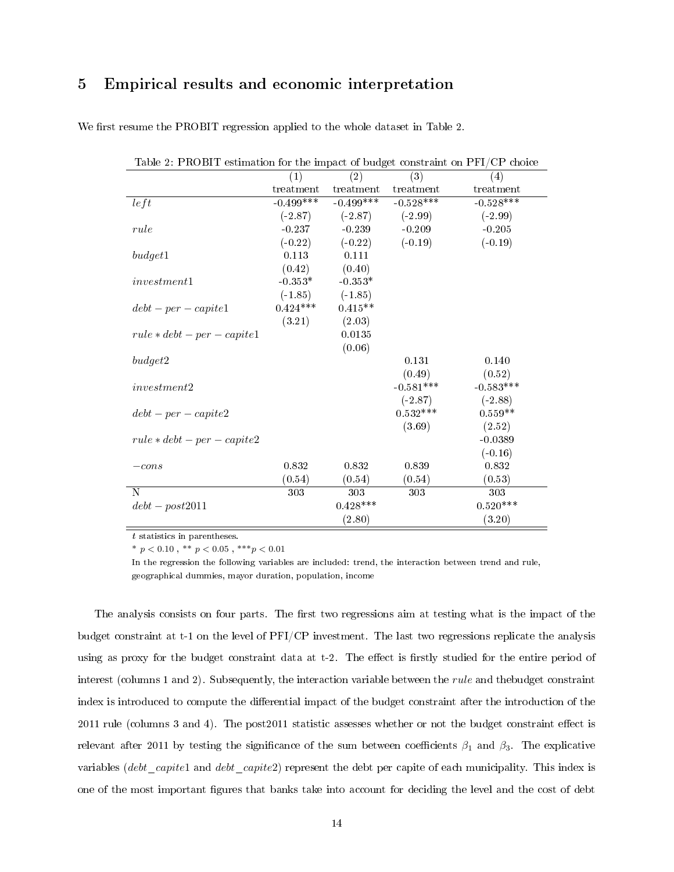## 5 Empirical results and economic interpretation

| Table 2: PROBIT estimation for the impact of budget constraint on PFI/CP choice |                  |                     |             |                   |
|---------------------------------------------------------------------------------|------------------|---------------------|-------------|-------------------|
|                                                                                 | $\left(1\right)$ | (2)                 | (3)         | $\left( 4\right)$ |
|                                                                                 | treatment        | treatment           | treatment   | treatment         |
| left                                                                            | $-0.499***$      | $-0.499***$         | $-0.528***$ | $-0.528***$       |
|                                                                                 | $(-2.87)$        | $(-2.87)$ $(-2.99)$ |             | $(-2.99)$         |
| rule                                                                            | $-0.237$         | $-0.239$            | $-0.209$    | $-0.205$          |
|                                                                                 | $(-0.22)$        | $(-0.22)$           | $(-0.19)$   | $(-0.19)$         |
| budget1                                                                         | 0.113            | 0.111               |             |                   |
|                                                                                 | (0.42)           | (0.40)              |             |                   |
| investment1                                                                     | $-0.353*$        | $-0.353*$           |             |                   |
|                                                                                 | $(-1.85)$        | $(-1.85)$           |             |                   |
| $debt-per-capite1$                                                              | $0.424***$       | $0.415**$           |             |                   |
|                                                                                 | (3.21)           | (2.03)              |             |                   |
| $rule * debt-per-capite1$                                                       |                  | 0.0135              |             |                   |
|                                                                                 |                  | (0.06)              |             |                   |
| budget2                                                                         |                  |                     | 0.131       | 0.140             |
|                                                                                 |                  |                     | (0.49)      | (0.52)            |
| investment2                                                                     |                  |                     | $-0.581***$ | $-0.583***$       |
|                                                                                 |                  |                     | $(-2.87)$   | $(-2.88)$         |
| $debt-per-capite2$                                                              |                  |                     | $0.532***$  | $0.559**$         |
|                                                                                 |                  |                     | (3.69)      | (2.52)            |
| $rule * debt-per-capite2$                                                       |                  |                     |             | $-0.0389$         |
|                                                                                 |                  |                     |             | $(-0.16)$         |
| $-cons$                                                                         | 0.832            | 0.832               | 0.839       | 0.832             |
|                                                                                 | (0.54)           | (0.54)              | (0.54)      | (0.53)            |
| N                                                                               | 303              | 303                 | 303         | 303               |
| $debt - post2011$                                                               |                  | $0.428***$          |             | $0.520***$        |
|                                                                                 |                  | (2.80)              |             | (3.20)            |

We first resume the PROBIT regression applied to the whole dataset in Table 2.

 $\boldsymbol{t}$  statistics in parentheses.

\*  $p < 0.10$ , \*\*  $p < 0.05$ , \*\*\* $p < 0.01$ 

In the regression the following variables are included: trend, the interaction between trend and rule, geographical dummies, mayor duration, population, income

The analysis consists on four parts. The first two regressions aim at testing what is the impact of the budget constraint at t-1 on the level of PFI/CP investment. The last two regressions replicate the analysis using as proxy for the budget constraint data at t-2. The effect is firstly studied for the entire period of interest (columns 1 and 2). Subsequently, the interaction variable between the *rule* and thebudget constraint index is introduced to compute the differential impact of the budget constraint after the introduction of the  $2011$  rule (columns 3 and 4). The post $2011$  statistic assesses whether or not the budget constraint effect is relevant after 2011 by testing the significance of the sum between coefficients  $\beta_1$  and  $\beta_3$ . The explicative variables (debt\_capite1 and debt\_capite2) represent the debt per capite of each municipality. This index is one of the most important gures that banks take into account for deciding the level and the cost of debt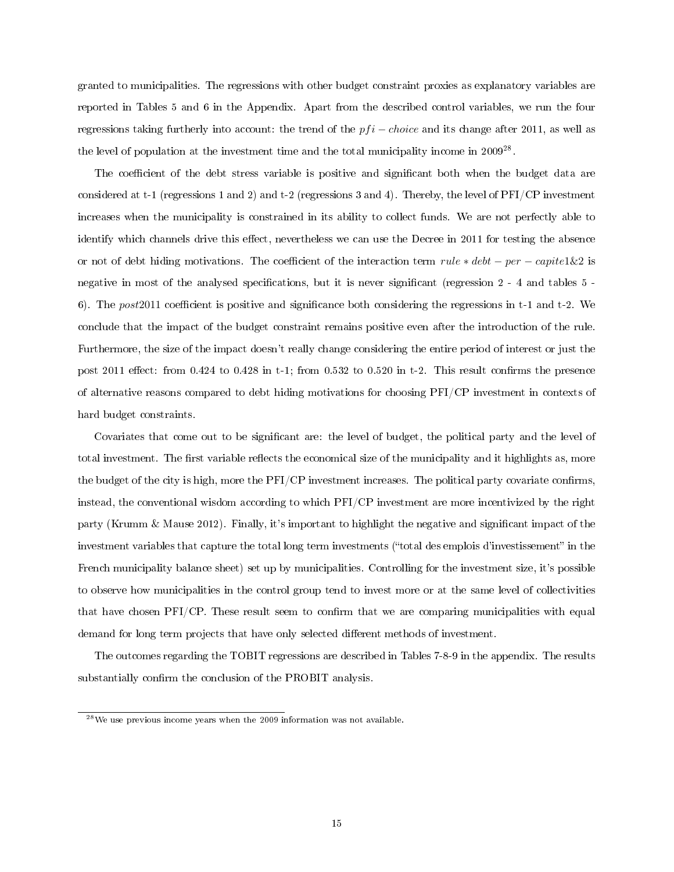granted to municipalities. The regressions with other budget constraint proxies as explanatory variables are reported in Tables 5 and 6 in the Appendix. Apart from the described control variables, we run the four regressions taking furtherly into account: the trend of the  $pfi - choice$  and its change after 2011, as well as the level of population at the investment time and the total municipality income in 2009<sup>28</sup>.

The coefficient of the debt stress variable is positive and significant both when the budget data are considered at t-1 (regressions 1 and 2) and t-2 (regressions 3 and 4). Thereby, the level of PFI/CP investment increases when the municipality is constrained in its ability to collect funds. We are not perfectly able to identify which channels drive this effect, nevertheless we can use the Decree in 2011 for testing the absence or not of debt hiding motivations. The coefficient of the interaction term  $rule * debt - per - capit1\&2$  is negative in most of the analysed specifications, but it is never significant (regression 2 - 4 and tables 5 -6). The post 2011 coefficient is positive and significance both considering the regressions in t-1 and t-2. We conclude that the impact of the budget constraint remains positive even after the introduction of the rule. Furthermore, the size of the impact doesn't really change considering the entire period of interest or just the post 2011 effect: from  $0.424$  to  $0.428$  in t-1; from  $0.532$  to  $0.520$  in t-2. This result confirms the presence of alternative reasons compared to debt hiding motivations for choosing PFI/CP investment in contexts of hard budget constraints.

Covariates that come out to be significant are: the level of budget, the political party and the level of total investment. The first variable reflects the economical size of the municipality and it highlights as, more the budget of the city is high, more the  $PFI/CP$  investment increases. The political party covariate confirms, instead, the conventional wisdom according to which PFI/CP investment are more incentivized by the right party (Krumm & Mause 2012). Finally, it's important to highlight the negative and signicant impact of the investment variables that capture the total long term investments ("total des emplois d'investissement" in the French municipality balance sheet) set up by municipalities. Controlling for the investment size, it's possible to observe how municipalities in the control group tend to invest more or at the same level of collectivities that have chosen PFI/CP. These result seem to confirm that we are comparing municipalities with equal demand for long term projects that have only selected different methods of investment.

The outcomes regarding the TOBIT regressions are described in Tables 7-8-9 in the appendix. The results substantially confirm the conclusion of the PROBIT analysis.

<sup>28</sup>We use previous income years when the 2009 information was not available.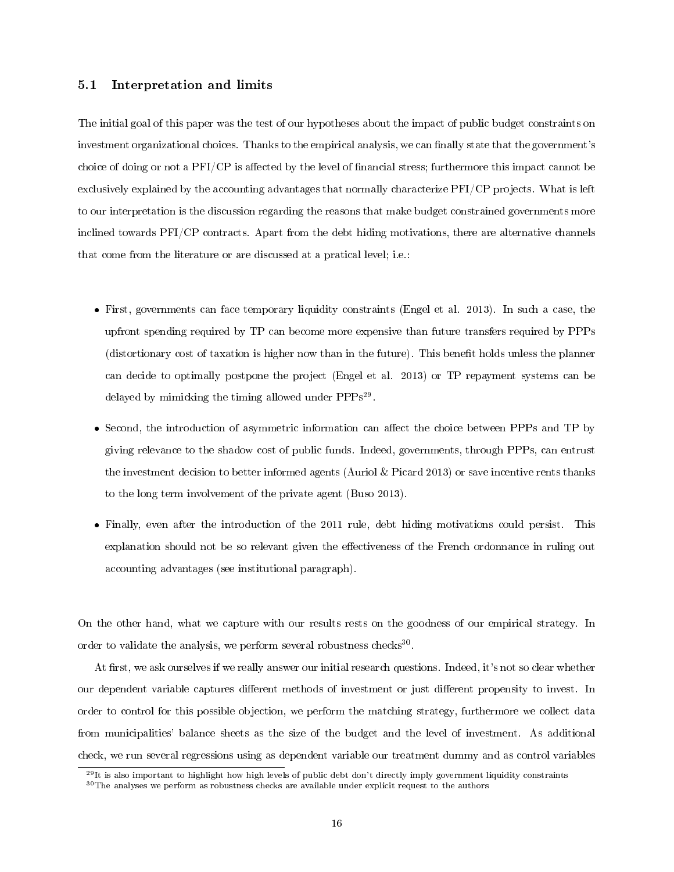#### 5.1 Interpretation and limits

The initial goal of this paper was the test of our hypotheses about the impact of public budget constraints on investment organizational choices. Thanks to the empirical analysis, we can finally state that the government's choice of doing or not a  $PFI/CP$  is affected by the level of financial stress; furthermore this impact cannot be exclusively explained by the accounting advantages that normally characterize PFI/CP projects. What is left to our interpretation is the discussion regarding the reasons that make budget constrained governments more inclined towards PFI/CP contracts. Apart from the debt hiding motivations, there are alternative channels that come from the literature or are discussed at a pratical level; i.e.:

- First, governments can face temporary liquidity constraints (Engel et al. 2013). In such a case, the upfront spending required by TP can become more expensive than future transfers required by PPPs (distortionary cost of taxation is higher now than in the future). This benefit holds unless the planner can decide to optimally postpone the project (Engel et al. 2013) or TP repayment systems can be delayed by mimicking the timing allowed under PPPs<sup>29</sup>.
- Second, the introduction of asymmetric information can affect the choice between PPPs and TP by giving relevance to the shadow cost of public funds. Indeed, governments, through PPPs, can entrust the investment decision to better informed agents (Auriol & Picard 2013) or save incentive rents thanks to the long term involvement of the private agent (Buso 2013).
- Finally, even after the introduction of the 2011 rule, debt hiding motivations could persist. This explanation should not be so relevant given the effectiveness of the French ordonnance in ruling out accounting advantages (see institutional paragraph).

On the other hand, what we capture with our results rests on the goodness of our empirical strategy. In order to validate the analysis, we perform several robustness checks<sup>30</sup>.

At first, we ask ourselves if we really answer our initial research questions. Indeed, it's not so clear whether our dependent variable captures different methods of investment or just different propensity to invest. In order to control for this possible objection, we perform the matching strategy, furthermore we collect data from municipalities' balance sheets as the size of the budget and the level of investment. As additional check, we run several regressions using as dependent variable our treatment dummy and as control variables

 $^{29}$ It is also important to highlight how high levels of public debt don't directly imply government liquidity constraints

<sup>&</sup>lt;sup>30</sup>The analyses we perform as robustness checks are available under explicit request to the authors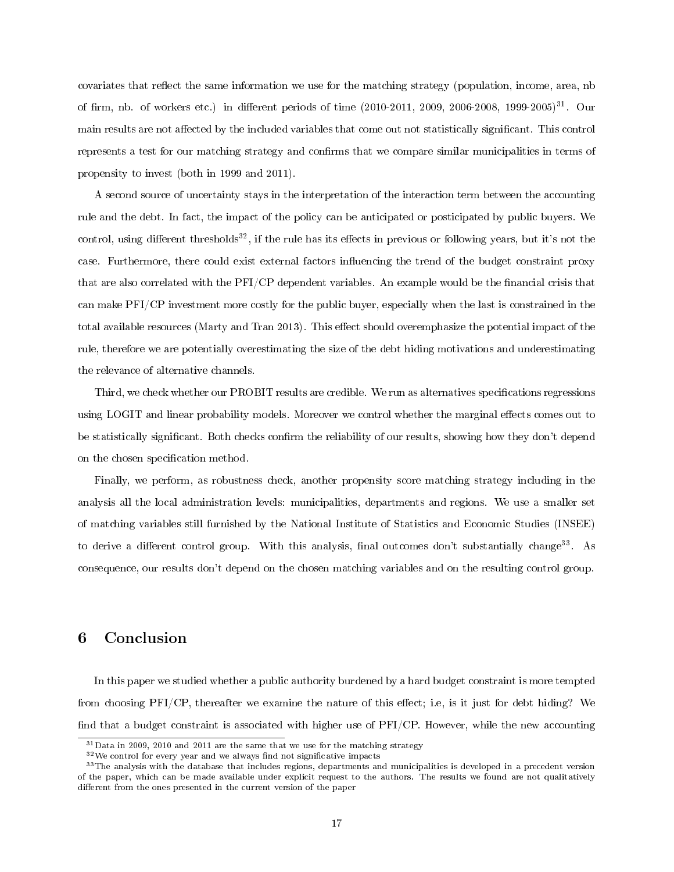covariates that reflect the same information we use for the matching strategy (population, income, area, nb of firm, nb. of workers etc.) in different periods of time  $(2010-2011, 2009, 2006-2008, 1999-2005)^{31}$ . Our main results are not affected by the included variables that come out not statistically significant. This control represents a test for our matching strategy and confirms that we compare similar municipalities in terms of propensity to invest (both in 1999 and 2011).

A second source of uncertainty stays in the interpretation of the interaction term between the accounting rule and the debt. In fact, the impact of the policy can be anticipated or posticipated by public buyers. We control, using different thresholds<sup>32</sup>, if the rule has its effects in previous or following years, but it's not the case. Furthermore, there could exist external factors influencing the trend of the budget constraint proxy that are also correlated with the PFI/CP dependent variables. An example would be the financial crisis that can make PFI/CP investment more costly for the public buyer, especially when the last is constrained in the total available resources (Marty and Tran 2013). This effect should overemphasize the potential impact of the rule, therefore we are potentially overestimating the size of the debt hiding motivations and underestimating the relevance of alternative channels.

Third, we check whether our PROBIT results are credible. We run as alternatives specifications regressions using LOGIT and linear probability models. Moreover we control whether the marginal effects comes out to be statistically significant. Both checks confirm the reliability of our results, showing how they don't depend on the chosen specification method.

Finally, we perform, as robustness check, another propensity score matching strategy including in the analysis all the local administration levels: municipalities, departments and regions. We use a smaller set of matching variables still furnished by the National Institute of Statistics and Economic Studies (INSEE) to derive a different control group. With this analysis, final outcomes don't substantially change<sup>33</sup>. As consequence, our results don't depend on the chosen matching variables and on the resulting control group.

## 6 Conclusion

In this paper we studied whether a public authority burdened by a hard budget constraint is more tempted from choosing  $PFI/CP$ , thereafter we examine the nature of this effect; i.e, is it just for debt hiding? We find that a budget constraint is associated with higher use of PFI/CP. However, while the new accounting

 $31$  Data in 2009, 2010 and 2011 are the same that we use for the matching strategy

 $32$ We control for every year and we always find not significative impacts

<sup>&</sup>lt;sup>33</sup>The analysis with the database that includes regions, departments and municipalities is developed in a precedent version of the paper, which can be made available under explicit request to the authors. The results we found are not qualitatively different from the ones presented in the current version of the paper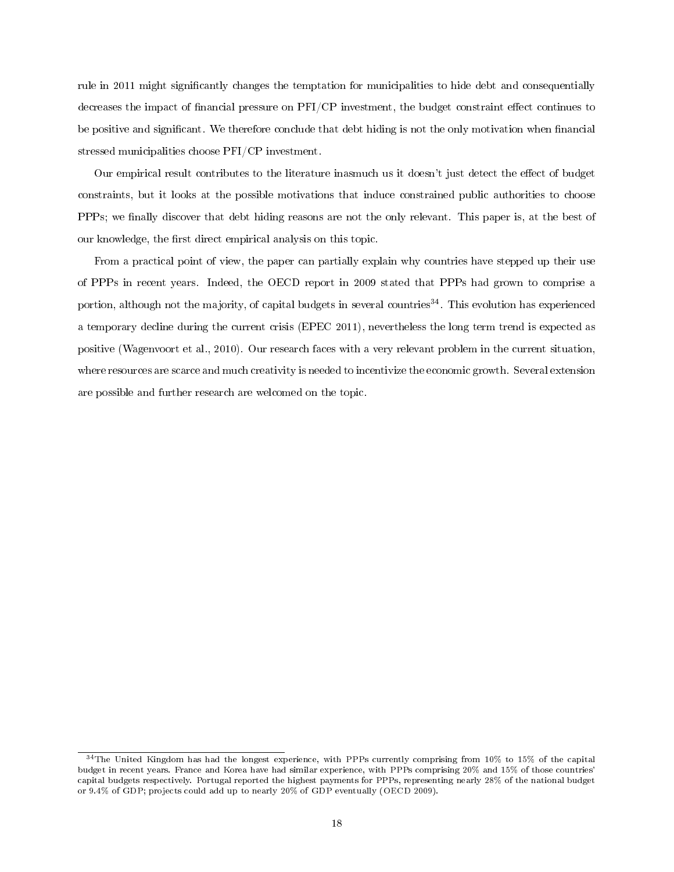rule in 2011 might signicantly changes the temptation for municipalities to hide debt and consequentially decreases the impact of financial pressure on  $PFI/CP$  investment, the budget constraint effect continues to be positive and significant. We therefore conclude that debt hiding is not the only motivation when financial stressed municipalities choose PFI/CP investment.

Our empirical result contributes to the literature inasmuch us it doesn't just detect the effect of budget constraints, but it looks at the possible motivations that induce constrained public authorities to choose PPPs; we finally discover that debt hiding reasons are not the only relevant. This paper is, at the best of our knowledge, the first direct empirical analysis on this topic.

From a practical point of view, the paper can partially explain why countries have stepped up their use of PPPs in recent years. Indeed, the OECD report in 2009 stated that PPPs had grown to comprise a portion, although not the majority, of capital budgets in several countries<sup>34</sup>. This evolution has experienced a temporary decline during the current crisis (EPEC 2011), nevertheless the long term trend is expected as positive (Wagenvoort et al., 2010). Our research faces with a very relevant problem in the current situation, where resources are scarce and much creativity is needed to incentivize the economic growth. Several extension are possible and further research are welcomed on the topic.

<sup>34</sup>The United Kingdom has had the longest experience, with PPPs currently comprising from 10% to 15% of the capital budget in recent years. France and Korea have had similar experience, with PPPs comprising 20% and 15% of those countries' capital budgets respectively. Portugal reported the highest payments for PPPs, representing nearly 28% of the national budget or 9.4% of GDP; projects could add up to nearly 20% of GDP eventually (OECD 2009).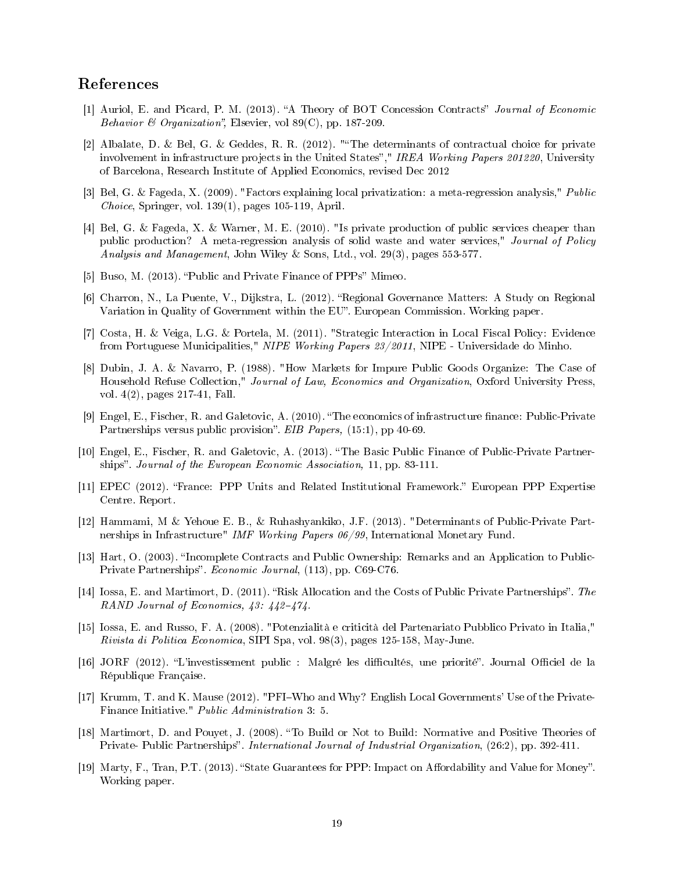## References

- [1] Auriol, E. and Picard, P. M. (2013). "A Theory of BOT Concession Contracts" Journal of Economic Behavior & Organization", Elsevier, vol  $89(C)$ , pp. 187-209.
- [2] Albalate, D. & Bel, G. & Geddes, R. R. (2012). "The determinants of contractual choice for private involvement in infrastructure projects in the United States"," IREA Working Papers 201220, University of Barcelona, Research Institute of Applied Economics, revised Dec 2012
- [3] Bel, G. & Fageda, X. (2009). "Factors explaining local privatization: a meta-regression analysis," Public Choice, Springer, vol. 139(1), pages 105-119, April.
- [4] Bel, G. & Fageda, X. & Warner, M. E. (2010). "Is private production of public services cheaper than public production? A meta-regression analysis of solid waste and water services," Journal of Policy Analysis and Management, John Wiley & Sons, Ltd., vol. 29(3), pages 553-577.
- [5] Buso, M. (2013). "Public and Private Finance of PPPs" Mimeo.
- [6] Charron, N., La Puente, V., Dijkstra, L. (2012). "Regional Governance Matters: A Study on Regional Variation in Quality of Government within the EU". European Commission. Working paper.
- [7] Costa, H. & Veiga, L.G. & Portela, M. (2011). "Strategic Interaction in Local Fiscal Policy: Evidence from Portuguese Municipalities," NIPE Working Papers 23/2011, NIPE - Universidade do Minho.
- [8] Dubin, J. A. & Navarro, P. (1988). "How Markets for Impure Public Goods Organize: The Case of Household Refuse Collection," Journal of Law, Economics and Organization, Oxford University Press, vol. 4(2), pages 217-41, Fall.
- [9] Engel, E., Fischer, R. and Galetovic, A. (2010). "The economics of infrastructure finance: Public-Private Partnerships versus public provision". EIB Papers, (15:1), pp 40-69.
- [10] Engel, E., Fischer, R. and Galetovic, A. (2013). The Basic Public Finance of Public-Private Partnerships". Journal of the European Economic Association, 11, pp. 83-111.
- [11] EPEC (2012). "France: PPP Units and Related Institutional Framework." European PPP Expertise Centre. Report.
- [12] Hammami, M & Yehoue E. B., & Ruhashyankiko, J.F. (2013). "Determinants of Public-Private Partnerships in Infrastructure" IMF Working Papers 06/99, International Monetary Fund.
- [13] Hart, O. (2003). "Incomplete Contracts and Public Ownership: Remarks and an Application to Public-Private Partnerships". Economic Journal, (113), pp. C69-C76.
- [14] Iossa, E. and Martimort, D. (2011). "Risk Allocation and the Costs of Public Private Partnerships". The RAND Journal of Economics,  $43: 442-474$ .
- [15] Iossa, E. and Russo, F. A. (2008). "Potenzialità e criticità del Partenariato Pubblico Privato in Italia," Rivista di Politica Economica, SIPI Spa, vol. 98(3), pages 125-158, May-June.
- [16] JORF (2012). "L'investissement public : Malgré les difficultés, une priorité". Journal Officiel de la République Française.
- [17] Krumm, T. and K. Mause (2012). "PFIWho and Why? English Local Governments' Use of the Private-Finance Initiative." Public Administration 3: 5.
- [18] Martimort, D. and Pouyet, J. (2008). To Build or Not to Build: Normative and Positive Theories of Private- Public Partnerships". International Journal of Industrial Organization, (26:2), pp. 392-411.
- [19] Marty, F., Tran, P.T. (2013). "State Guarantees for PPP: Impact on Affordability and Value for Money". Working paper.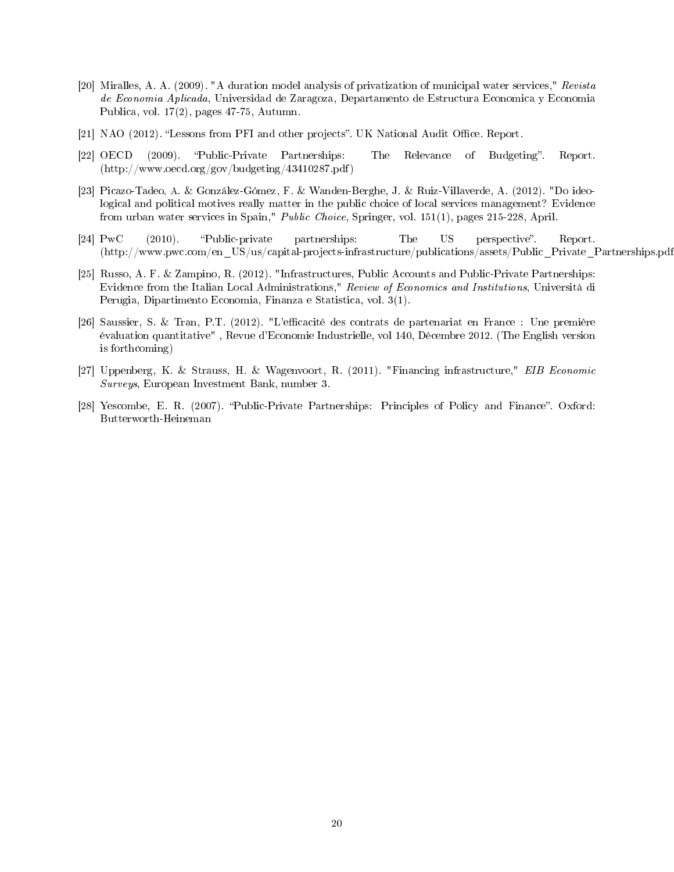- [20] Miralles, A. A. (2009). "A duration model analysis of privatization of municipal water services," Revista de Economia Aplicada, Universidad de Zaragoza, Departamento de Estructura Economica y Economia Publica, vol. 17(2), pages 47-75, Autumn.
- [21] NAO (2012). "Lessons from PFI and other projects". UK National Audit Office. Report.
- [22] OECD (2009). "Public-Private Partnerships: The Relevance of Budgeting". Report. (http://www.oecd.org/gov/budgeting/43410287.pdf)
- [23] Picazo-Tadeo, A. & González-Gómez, F. & Wanden-Berghe, J. & Ruiz-Villaverde, A. (2012). "Do ideological and political motives really matter in the public choice of local services management? Evidence from urban water services in Spain," Public Choice, Springer, vol. 151(1), pages 215-228, April.
- [24] PwC (2010). "Public-private partnerships: The US perspective". Report. (http://www.pwc.com/en\_US/us/capital-projects-infrastructure/publications/assets/Public\_Private\_Partnerships.pdf)
- [25] Russo, A. F. & Zampino, R. (2012). "Infrastructures, Public Accounts and Public-Private Partnerships: Evidence from the Italian Local Administrations," Review of Economics and Institutions, Università di Perugia, Dipartimento Economia, Finanza e Statistica, vol. 3(1).
- [26] Saussier, S. & Tran, P.T. (2012). "L'efficacité des contrats de partenariat en France : Une première évaluation quantitative" , Revue d'Economie Industrielle, vol 140, Décembre 2012. (The English version is forthcoming)
- [27] Uppenberg, K. & Strauss, H. & Wagenvoort, R. (2011). "Financing infrastructure," EIB Economic Surveys, European Investment Bank, number 3.
- [28] Yescombe, E. R. (2007). "Public-Private Partnerships: Principles of Policy and Finance". Oxford: Butterworth-Heineman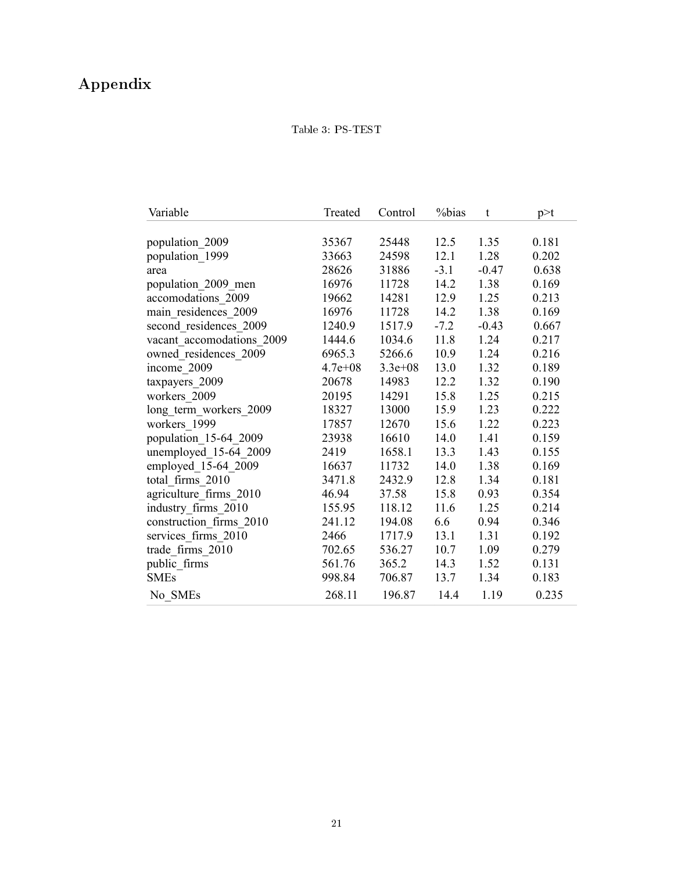# Appendix

## Table 3: PS-TEST

| Variable                  | Treated     | Control     | %bias  | t       | p > t |
|---------------------------|-------------|-------------|--------|---------|-------|
|                           |             |             |        |         |       |
| population 2009           | 35367       | 25448       | 12.5   | 1.35    | 0.181 |
| population 1999           | 33663       | 24598       | 12.1   | 1.28    | 0.202 |
| area                      | 28626       | 31886       | $-3.1$ | $-0.47$ | 0.638 |
| population 2009 men       | 16976       | 11728       | 14.2   | 1.38    | 0.169 |
| accomodations 2009        | 19662       | 14281       | 12.9   | 1.25    | 0.213 |
| main residences_2009      | 16976       | 11728       | 14.2   | 1.38    | 0.169 |
| second residences 2009    | 1240.9      | 1517.9      | $-7.2$ | $-0.43$ | 0.667 |
| vacant accomodations 2009 | 1444.6      | 1034.6      | 11.8   | 1.24    | 0.217 |
| owned residences 2009     | 6965.3      | 5266.6      | 10.9   | 1.24    | 0.216 |
| income 2009               | $4.7e + 08$ | $3.3e + 08$ | 13.0   | 1.32    | 0.189 |
| taxpayers 2009            | 20678       | 14983       | 12.2   | 1.32    | 0.190 |
| workers 2009              | 20195       | 14291       | 15.8   | 1.25    | 0.215 |
| long_term_workers_2009    | 18327       | 13000       | 15.9   | 1.23    | 0.222 |
| workers_1999              | 17857       | 12670       | 15.6   | 1.22    | 0.223 |
| population 15-64 2009     | 23938       | 16610       | 14.0   | 1.41    | 0.159 |
| unemployed 15-64 2009     | 2419        | 1658.1      | 13.3   | 1.43    | 0.155 |
| employed 15-64 2009       | 16637       | 11732       | 14.0   | 1.38    | 0.169 |
| total firms 2010          | 3471.8      | 2432.9      | 12.8   | 1.34    | 0.181 |
| agriculture_firms_2010    | 46.94       | 37.58       | 15.8   | 0.93    | 0.354 |
| industry firms 2010       | 155.95      | 118.12      | 11.6   | 1.25    | 0.214 |
| construction firms 2010   | 241.12      | 194.08      | 6.6    | 0.94    | 0.346 |
| services firms 2010       | 2466        | 1717.9      | 13.1   | 1.31    | 0.192 |
| trade firms 2010          | 702.65      | 536.27      | 10.7   | 1.09    | 0.279 |
| public firms              | 561.76      | 365.2       | 14.3   | 1.52    | 0.131 |
| <b>SMEs</b>               | 998.84      | 706.87      | 13.7   | 1.34    | 0.183 |
| No SMEs                   | 268.11      | 196.87      | 14.4   | 1.19    | 0.235 |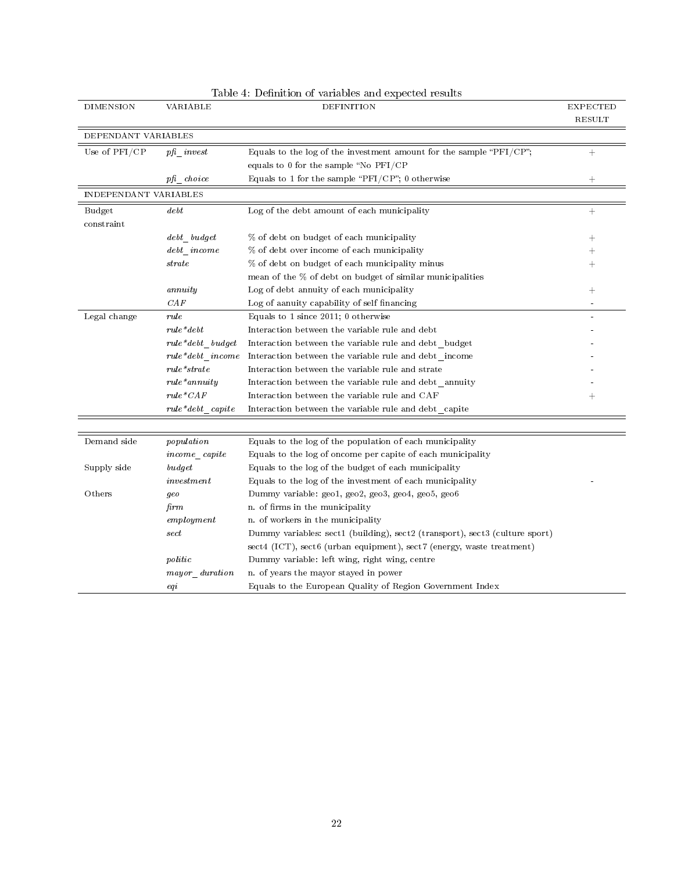| <b>DIMENSION</b>      | VARIABLE                                                                                              | DEFINITION                                                                  | <b>EXPECTED</b>    |
|-----------------------|-------------------------------------------------------------------------------------------------------|-----------------------------------------------------------------------------|--------------------|
|                       |                                                                                                       |                                                                             | <b>RESULT</b>      |
| DEPENDANT VARIABLES   |                                                                                                       |                                                                             |                    |
| Use of PFI/CP         | $pfi\_invest$                                                                                         | Equals to the log of the investment amount for the sample " $\rm PFI/CP$ "; | $^+$               |
|                       |                                                                                                       | equals to 0 for the sample "No PFI/CP                                       |                    |
|                       | $pfi$ choice                                                                                          | Equals to 1 for the sample "PFI/CP"; 0 otherwise                            | $^+$               |
| INDEPENDANT VARIABLES |                                                                                                       |                                                                             |                    |
| Budget                | debt                                                                                                  | Log of the debt amount of each municipality                                 | $^{+}$             |
| constraint            |                                                                                                       |                                                                             |                    |
|                       | debt budget                                                                                           | % of debt on budget of each municipality                                    | $\hspace{0.1mm} +$ |
|                       | $debt\_income$                                                                                        | % of debt over income of each municipality                                  | $\hspace{0.1mm} +$ |
|                       | $_{strate}$                                                                                           | % of debt on budget of each municipality minus                              | $\hspace{0.1mm} +$ |
|                       |                                                                                                       | mean of the % of debt on budget of similar municipalities                   |                    |
|                       | annuity                                                                                               | Log of debt annuity of each municipality                                    | $^{+}$             |
|                       | $_{CAF}$                                                                                              | Log of aanuity capability of self financing                                 |                    |
| Legal change          | rule                                                                                                  | Equals to 1 since 2011; 0 otherwise                                         |                    |
|                       | $rule* = det$                                                                                         | Interaction between the variable rule and debt                              |                    |
|                       | $rule*40pt\text{\texttt{-}}debt\_budget$                                                              | Interaction between the variable rule and debt budget                       |                    |
|                       | rule*debt income                                                                                      | Interaction between the variable rule and debt income                       |                    |
|                       | $rule*starate$                                                                                        | Interaction between the variable rule and strate                            |                    |
|                       | $rule*annuity$                                                                                        | Interaction between the variable rule and debt annuity                      |                    |
|                       | $rule*^{*}CAF$                                                                                        | Interaction between the variable rule and CAF                               | $\hspace{0.1mm} +$ |
|                       | $rule* = det \ncapit$                                                                                 | Interaction between the variable rule and debt capite                       |                    |
|                       |                                                                                                       |                                                                             |                    |
| Demand side           | $p$ opulation                                                                                         | Equals to the log of the population of each municipality                    |                    |
|                       | $income\_capite$                                                                                      | Equals to the log of oncome per capite of each municipality                 |                    |
| Supply side           | budget                                                                                                | Equals to the log of the budget of each municipality                        |                    |
|                       | investment                                                                                            | Equals to the log of the investment of each municipality                    |                    |
| Others                | geo                                                                                                   | Dummy variable: geo1, geo2, geo3, geo4, geo5, geo6                          |                    |
|                       | firm                                                                                                  | n. of firms in the municipality                                             |                    |
|                       | emply them                                                                                            | n. of workers in the municipality                                           |                    |
|                       | $\operatorname*{sect}% \left( \mathcal{N}\right) \equiv\operatorname*{sect}\left( \mathcal{N}\right)$ | Dummy variables: sect1 (building), sect2 (transport), sect3 (culture sport) |                    |
|                       |                                                                                                       | sect4 (ICT), sect6 (urban equipment), sect7 (energy, waste treatment)       |                    |
|                       | politic                                                                                               | Dummy variable: left wing, right wing, centre                               |                    |
|                       | mayor duration                                                                                        | n. of years the mayor stayed in power                                       |                    |
|                       | eqi                                                                                                   | Equals to the European Quality of Region Government Index                   |                    |

Table 4: Definition of variables and expected results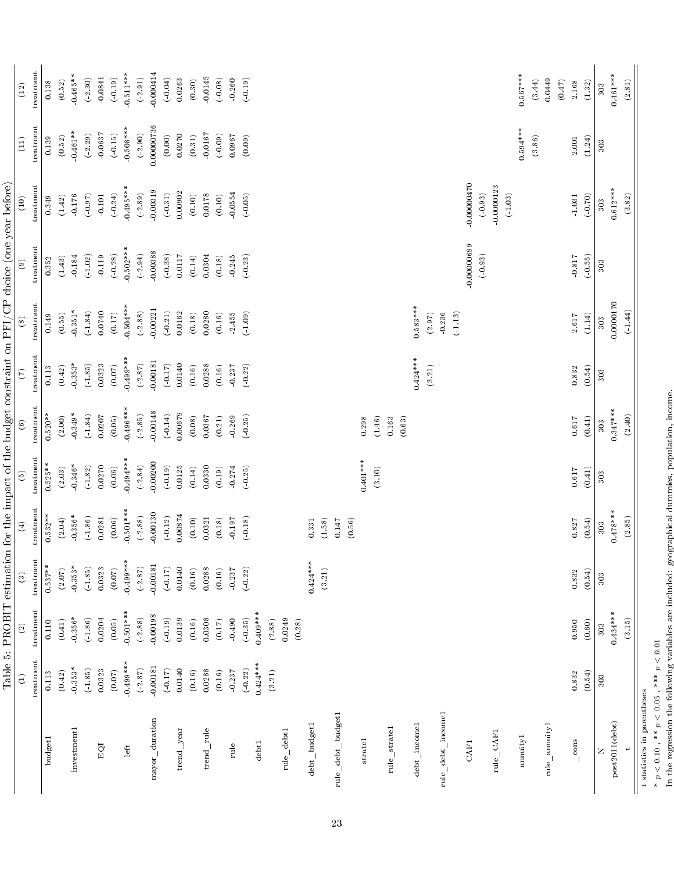|                                            |                                |                    |                         |                                                              |                        |                        |                      |                      | Table 5: PROBIT estimation for the impact of the budget constraint on PFI/CP choice (one year before) |                            |                   |                        |
|--------------------------------------------|--------------------------------|--------------------|-------------------------|--------------------------------------------------------------|------------------------|------------------------|----------------------|----------------------|-------------------------------------------------------------------------------------------------------|----------------------------|-------------------|------------------------|
|                                            | $\widehat{\Xi}$                | $\widehat{\infty}$ | $\widehat{\mathcal{E}}$ | $\bigoplus$                                                  | $\widehat{\mathbb{E}}$ | $\widehat{\mathbf{e}}$ | E                    | $\circledast$        | $\widehat{e}$                                                                                         | $\left(10\right)$          | $\left(11\right)$ | $\left( 12\right)$     |
|                                            | treatment                      | treatment          | treatment               | treatment                                                    | treatment              | treatment              | treatment            | treatment            | treatment                                                                                             | treatment                  | treatment         | treatment              |
| budget1                                    | 0.113                          | 0.110              | $0.537**$               | $0.532**$                                                    | $0.525**$              | $0.520**$              | 0.113                | 0.149                | 0.352                                                                                                 | 0.349                      | 0.139             | 0.138                  |
|                                            | (0.42)                         | (0.41)             | (2.07)                  | (2.04)                                                       | (2.03)                 | $(2.00)$               | $\left(0.42\right)$  | (0.55)               | (1.43)                                                                                                | (1.42)                     | (0.52)            | (0.52)                 |
| investment1                                | $-0.353*$                      | $-0.356*$          | $-0.353*$               | $-0.356*$                                                    | $-0.346*$              | $0.349*$               | $0.353*$             | $-0.351*$            | 0.184                                                                                                 | $-0.176$                   | $0.461**$         | $-0.465**$             |
|                                            | (1.85)                         | (1.86)             | (1.85)                  | (1.86)                                                       | (1.82)                 | (1.84)                 | (1.85)               | (1.84)               | (1.02)                                                                                                | (0.97)                     | (2.29)            | (.2.30)                |
| EQI                                        | 0.0323                         | 0.0204             | 0.0323                  | 0.0281                                                       | 0.0270                 | 0.0207                 | 0.0323               | 0.0740               | $-0.119$                                                                                              | $-0.101$                   | $-0.0637$         | $\boldsymbol{-0.0841}$ |
|                                            | (0.07)                         | (0.05)             | (0.07)                  | (0.06)                                                       | (0.06)                 | (0.05)                 | $(0.07)$             | (0.17)               | $(-0.28)$                                                                                             | $(-0.24)$                  | (0.15)            | (0.19)                 |
| left                                       | $0.499***$                     | $-0.501***$        | $0.499***$              | $0.501***$                                                   | $0.494***$             | $0.496***$             | $0.499***$           | $0.504***$           | $0.502***$                                                                                            | $-0.495***$                | $-0.508***$       | $0.511***$             |
|                                            | (2.87)                         | (2.88)             | (2.87)                  | (2.88)                                                       | (2.84)                 | (2.85)                 | (2.87)               | (2.88)               | (2.94)                                                                                                | (.2.89)                    | (2.90)            | (2.91)                 |
| mayor_duration                             | $-0.00181$                     | $-0.00198$         | 0.00181                 | $-0.00130$                                                   | 0.00200                | 0.00148                | $-0.00181$           | 0.00221              | $-0.00388$                                                                                            | 0.00319                    | 0.00000736        | $-0.000414$            |
|                                            | (0.17)                         | $(-0.19)$          | (0.17)                  | $\left( \begin{smallmatrix} -0.12 \end{smallmatrix} \right)$ | (0.19)                 | $(-0.14)$              | (0.17)               | (0.21)               | $(-0.38)$                                                                                             | (0.31)                     | (0.00)            | $(-0.04)$              |
| ${\rm trend\_year}$                        | 0.0140                         | 0.0139             | 0.0140                  | 0.00874                                                      | 0.0125                 | 0.00679                | 0.0140               | 0.0162               | $0.0117\,$                                                                                            | 0.00902                    | $0.0270\,$        | 0.0263                 |
|                                            | (0.16)                         | (0.16)             | (0.16)                  | (0.10)                                                       | (0.14)                 | (0.08)                 | (0.16)               | (0.18)               | $(0.14)$                                                                                              | (0.10)                     | (0.31)            | $\left( 0.30\right)$   |
| trend_rule                                 | 0.0288                         | 0.0308             | 0.0288                  | 0.0321                                                       | 0.0330                 | 0.0367                 | 0.0288               | 0.0280               | 0.0304                                                                                                | $0.0178\,$                 | $-0.0167$         | $-0.0145\,$            |
|                                            | (0.16)                         | $(0.17)$           | (0.16)                  | (0.18)                                                       | (0.19)                 | (0.21)                 | (0.16)               | (0.16)               | (0.18)                                                                                                | (0.10)                     | $(-0.09)$         | $(-0.08)$              |
| $_{\rm rule}$                              | 0.237                          | $-0.490$           | $-0.237$                | 0.197                                                        | $0.274\,$              | 0.269                  | $-0.237$             | 2.455                | $-0.245$                                                                                              | $-0.0554$                  | 0.0967            | $-0.260$               |
|                                            | $(\mathord{\text{\rm -0.22}})$ | (0.35)             | $(-0.22)$               | (0.18)                                                       | $(-0.25)$              | (0.25)                 | (0.22)               | (1.09)               | $(-0.23)$                                                                                             | $(-0.05)$                  | (0.09)            | $(-0.19)$              |
| ${\rm debt1}$                              | $0.424***$                     | $0.409***$         |                         |                                                              |                        |                        |                      |                      |                                                                                                       |                            |                   |                        |
|                                            | (3.21)                         | (2.88)             |                         |                                                              |                        |                        |                      |                      |                                                                                                       |                            |                   |                        |
| $rule\_debit1$                             |                                | 0.0249             |                         |                                                              |                        |                        |                      |                      |                                                                                                       |                            |                   |                        |
|                                            |                                | (0.28)             |                         |                                                              |                        |                        |                      |                      |                                                                                                       |                            |                   |                        |
| $\det$ _budget1                            |                                |                    | $0.424***$              | 0.331                                                        |                        |                        |                      |                      |                                                                                                       |                            |                   |                        |
|                                            |                                |                    | (3.21)                  | (1.58)                                                       |                        |                        |                      |                      |                                                                                                       |                            |                   |                        |
| rule_debt_budget1                          |                                |                    |                         | 0.147                                                        |                        |                        |                      |                      |                                                                                                       |                            |                   |                        |
|                                            |                                |                    |                         | (0.56)                                                       | $0.401***$             |                        |                      |                      |                                                                                                       |                            |                   |                        |
| $_\mathrm{strated}$                        |                                |                    |                         |                                                              | (3.10)                 | (1.46)<br>0.298        |                      |                      |                                                                                                       |                            |                   |                        |
| rule_stratel                               |                                |                    |                         |                                                              |                        | 0.163                  |                      |                      |                                                                                                       |                            |                   |                        |
|                                            |                                |                    |                         |                                                              |                        | (0.63)                 |                      |                      |                                                                                                       |                            |                   |                        |
| debt_incomel                               |                                |                    |                         |                                                              |                        |                        | $0.424***$<br>(3.21) | $0.583***$<br>(2.97) |                                                                                                       |                            |                   |                        |
| rule_debt_income1                          |                                |                    |                         |                                                              |                        |                        |                      | $-0.236$             |                                                                                                       |                            |                   |                        |
|                                            |                                |                    |                         |                                                              |                        |                        |                      | (1.13)               |                                                                                                       |                            |                   |                        |
| CAF1                                       |                                |                    |                         |                                                              |                        |                        |                      |                      | $-0.00000699$<br>(0.93)                                                                               | $-0.00000000$<br>$(-0.93)$ |                   |                        |
| rule_CAF1                                  |                                |                    |                         |                                                              |                        |                        |                      |                      |                                                                                                       | $-0.0000123$               |                   |                        |
| annuityl                                   |                                |                    |                         |                                                              |                        |                        |                      |                      |                                                                                                       | (1.03)                     | $0.594***$        | $0.567***$             |
|                                            |                                |                    |                         |                                                              |                        |                        |                      |                      |                                                                                                       |                            | (3.86)            | (3.44)                 |
| rule_annuity1                              |                                |                    |                         |                                                              |                        |                        |                      |                      |                                                                                                       |                            |                   | 0.0449                 |
|                                            |                                |                    |                         |                                                              |                        |                        |                      |                      |                                                                                                       |                            |                   | (0.47)                 |
| $\cos$                                     | 0.832                          | 0.950              | 0.832                   | 0.827                                                        | $0.617\,$              | $0.617\,$              | 0.832                | $2.617\,$            | $-0.817$                                                                                              | $-1.031$                   | 2.001             | $2.168$                |
|                                            | (0.54)                         | (0.60)             | (0.54)                  | (0.54)                                                       | (0.41)                 | (0.41)                 | (0.54)               | $(1.14)$             | (.0.55)                                                                                               | $(-0.70)$                  | (1.24)            | $\left( 1.32\right)$   |
| Z                                          | 303                            | 303                | 303                     | 303                                                          | 303                    | 303                    | 303                  | 303                  | 303                                                                                                   | 303                        | 303               | 303                    |
| post2011(debt)                             |                                | $0.434***$         |                         | $0.478***$                                                   |                        | $0.347***$             |                      | $-0.0000170$         |                                                                                                       | $0.612***$                 |                   | $0.461***$             |
| $\rightarrow$                              |                                | (3.15)             |                         | (2.85)                                                       |                        | (2.40)                 |                      | (1.44)               |                                                                                                       | (3.82)                     |                   | (2.81)                 |
| $\boldsymbol{t}$ statistics in parentheses |                                |                    |                         |                                                              |                        |                        |                      |                      |                                                                                                       |                            |                   |                        |

\*  $p < 0.10$ , \*\*  $p < 0.05$ , \*\*\*  $p < 0.01$ <br>In the regression the following variables are included; geographical dummies, population, income. \*  $p < 0.10$  , \*\*  $p < 0.05$  , \*\*\*  $p < 0.01$ In the regression the following variables are included: geographical dummies, population, income.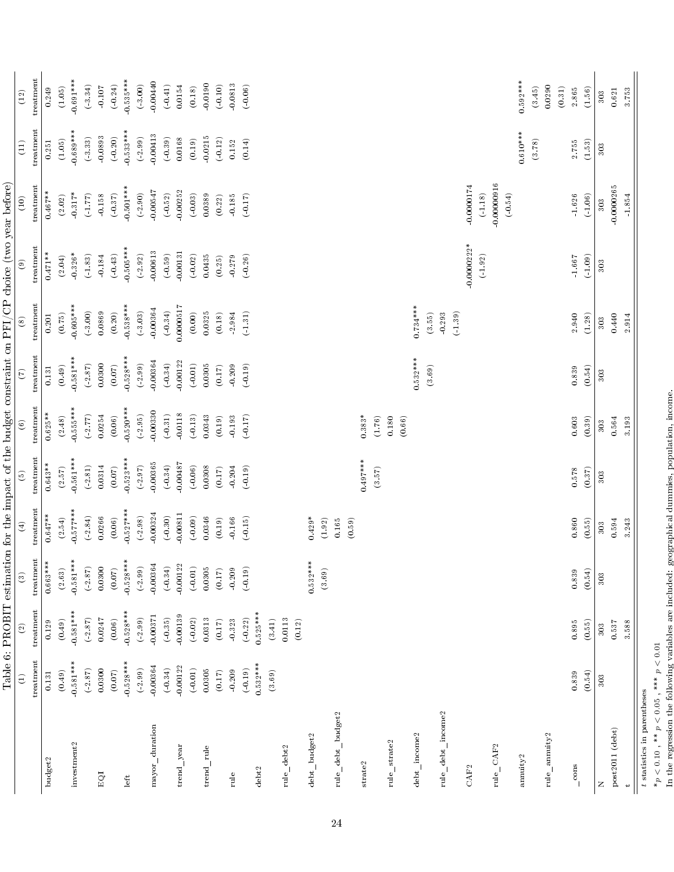|                                            |               |                    |               |              |                      |               |                      |                        | Table 6: PROBIT estimation for the impact of the budget constraint on PFI/CP choice (two year before) |                         |            |                               |
|--------------------------------------------|---------------|--------------------|---------------|--------------|----------------------|---------------|----------------------|------------------------|-------------------------------------------------------------------------------------------------------|-------------------------|------------|-------------------------------|
|                                            | $\widehat{E}$ | $\widehat{\infty}$ | $\widehat{c}$ | $\bigoplus$  | $\widehat{e}$        | $\widehat{6}$ | $\widehat{C}$        | $\overset{\circ}{(8)}$ | $\circledcirc$                                                                                        | $\left(10\right)$       | (11)       | $(12)$                        |
|                                            | treatment     | treatment          | treatment     | treatment    | treatment            | treatment     | treatment            | treatment              | treatment                                                                                             | treatment               | treatment  | treatment                     |
| budget2                                    | 0.131         | 0.129              | $0.663***$    | $0.647**$    | $0.643**$            | $0.625***$    | 0.131                | 0.201                  | $0.471**$                                                                                             | $0.467**$               | 0.251      | 0.249                         |
|                                            | (0.49)        | (0.49)             | (2.63)        | (2.54)       | (2.57)               | (2.48)        | (0.49)               | (0.75)                 | (2.04)                                                                                                | (2.02)                  | (1.05)     | (1.05)                        |
| investment2                                | $0.581***$    | $-0.581***$        | $0.581***$    | $0.577***$   | $0.561***$           | $0.555***$    | $0.581***$           | $0.605***$             | $-0.326*$                                                                                             | $0.317*$                | $0.689***$ | $0.691***$                    |
|                                            | (2.87)        | (2.87)             | (2.87)        | (2.84)       | $\left( 2.81\right)$ | (2.77)        | (2.87)               | (.3.00)                | $(\,1.83)$                                                                                            | (1.77)                  | (3.33)     | (3.34)                        |
| EQI                                        | 0.0300        | 0.0247             | 0.0300        | 0.0266       | 0.0314               | 0.0254        | 0.0300               | 0.0869                 | $-0.184$                                                                                              | $0.158\,$               | 0.0893     | $-0.107$                      |
|                                            | (0.07)        | (0.06)             | (0.07)        | (0.06)       | (0.07)               | (0.06)        | (0.07)               | (0.20)                 | $(-0.43)$                                                                                             | (0.37)                  | $(-0.20)$  | $(-0.24)$                     |
| left                                       | $-0.528***$   | $0.528***$         | $-0.528***$   | $0.527***$   | $0.523***$           | $0.520***$    | $0.528***$           | $0.538***$             | $0.505***$                                                                                            | $0.501***$              | $0.533***$ | $0.535***$                    |
|                                            | (.2.99)       | (2.99)             | (.2.99)       | (.2.98)      | (2.97)               | (2.95)        | (2.99)               | (3.03)                 | $(\textcolor{red}{\textbf{-2.92}})$                                                                   | (2.90)                  | (.2.99)    | (3.00)                        |
| $mayor_d$ uration                          | $-0.00364$    | $-0.00371$         | $-0.00364$    | 0.00324      | 0.00365              | 0.00330       | 0.00364              | $-0.00364$             | 0.00613                                                                                               | 0.00547                 | 0.00413    | $-0.00440$                    |
|                                            | $(-0.34)$     | (0.35)             | $(-0.34)$     | $(-0.30)$    | (.0.34)              | $(-0.31)$     | $(-0.34)$            | $(-0.34)$              | (.0.59)                                                                                               | $(-0.52)$               | (.0.39)    | (0.41)                        |
| trend_year                                 | $-0.00122$    | 0.00139            | $-0.00122$    | 0.00811      | 0.00487              | $-0.0118$     | 0.00122              | 0.0000517              | $-0.00131$                                                                                            | $-0.00252$              | 0.0168     | 0.0154                        |
|                                            | $(-0.01)$     | $(-0.02)$          | $(-0.01)$     | $(-0.09)$    | $(-0.06)$            | (0.13)        | (0.01)               | (0.00)                 | $(\textbf{-0.02})$                                                                                    | $(-0.03)$               | (0.19)     | (0.18)                        |
| trend rule                                 | 0.0305        | 0.0313             | 0.0305        | 0.0346       | 0.0308               | 0.0343        | 0.0305               | 0.0325                 | 0.0435                                                                                                | 0.0389                  | $-0.0215$  | $-0.0190$                     |
|                                            | (0.17)        | $(0.17)$           | (0.17)        | (0.19)       | (0.17)               | (0.19)        | $(0.17)$             | (0.18)                 | $(0.25)$                                                                                              | $(0.22)$                | $(-0.12)$  | $(-0.10)$                     |
| rule                                       | $-0.209$      | 0.323              | 0.209         | 0.166        | $-0.204$             | 0.193         | 0.209                | 2.984                  | 0.279                                                                                                 | $0.185\,$               | 0.152      | $-0.0813$                     |
|                                            | (0.19)        | (0.22)             | (0.19)        | (0.15)       | (0.19)               | (0.17)        | $(-0.19)$            | (1.31)                 | (0.26)                                                                                                | (0.17)                  | (0.14)     | $(-0.06)$                     |
| debt2                                      | $0.532***$    | $0.525***$         |               |              |                      |               |                      |                        |                                                                                                       |                         |            |                               |
|                                            | (3.69)        | (3.41)             |               |              |                      |               |                      |                        |                                                                                                       |                         |            |                               |
| rule_debt2                                 |               | $0.0113\,$         |               |              |                      |               |                      |                        |                                                                                                       |                         |            |                               |
|                                            |               | (0.12)             |               |              |                      |               |                      |                        |                                                                                                       |                         |            |                               |
| debt_budget2                               |               |                    | $0.532***$    | $0.429*$     |                      |               |                      |                        |                                                                                                       |                         |            |                               |
|                                            |               |                    | (3.69)        | $(1.92)$     |                      |               |                      |                        |                                                                                                       |                         |            |                               |
| rule_debt_budget2                          |               |                    |               | $0.165\,$    |                      |               |                      |                        |                                                                                                       |                         |            |                               |
|                                            |               |                    |               | (0.59)       |                      |               |                      |                        |                                                                                                       |                         |            |                               |
| $\rm strate2$                              |               |                    |               |              | $0.497***$           | $0.383*$      |                      |                        |                                                                                                       |                         |            |                               |
|                                            |               |                    |               |              | (3.57)               | $(1.76)$      |                      |                        |                                                                                                       |                         |            |                               |
| rule_strate2                               |               |                    |               |              |                      | 0.180         |                      |                        |                                                                                                       |                         |            |                               |
|                                            |               |                    |               |              |                      | (0.66)        |                      |                        |                                                                                                       |                         |            |                               |
| debt income2                               |               |                    |               |              |                      |               | $0.532***$<br>(3.69) | $0.734***$<br>(3.55)   |                                                                                                       |                         |            |                               |
| rule_debt_income2                          |               |                    |               |              |                      |               |                      | $-0.293$               |                                                                                                       |                         |            |                               |
|                                            |               |                    |               |              |                      |               |                      | (1.39)                 |                                                                                                       |                         |            |                               |
| CAF <sub>2</sub>                           |               |                    |               |              |                      |               |                      |                        | $-0.0000222*$                                                                                         | $-0.0000174$            |            |                               |
| rule_CAF2                                  |               |                    |               |              |                      |               |                      |                        | (1.92)                                                                                                | $-0.00000916$<br>(1.18) |            |                               |
|                                            |               |                    |               |              |                      |               |                      |                        |                                                                                                       | $\left( -0.54\right)$   |            |                               |
| annuity <sup>2</sup>                       |               |                    |               |              |                      |               |                      |                        |                                                                                                       |                         | $0.610***$ | $0.592***$                    |
|                                            |               |                    |               |              |                      |               |                      |                        |                                                                                                       |                         | (3.78)     | (3.45)                        |
| rule_annuity2                              |               |                    |               |              |                      |               |                      |                        |                                                                                                       |                         |            | 0.0290                        |
| $\frac{\cos x}{1}$                         | 0.839         | 0.895              | 0.839         | 0.860        | 0.578                | 0.603         | 0.839                | 2.940                  | 1.667                                                                                                 | 1.626                   | 2.755      | $\left( 0.31\right)$<br>2.865 |
|                                            | (0.54)        | (0.55)             | (0.54)        | (0.55)       | (0.37)               | (0.39)        | (0.54)               | (1.28)                 | (1.09)                                                                                                | (1.06)                  | (1.53)     | (1.56)                        |
|                                            |               |                    |               |              |                      |               |                      |                        |                                                                                                       |                         |            |                               |
| post2011 (debt)<br>Z                       | 303           | 0.537<br>303       | 303           | 0.594<br>303 | 303                  | 0.564<br>303  | 303                  | $\,0.440\,$<br>303     | 303                                                                                                   | $-0.0000265$<br>303     | 303        | $\,0.621$<br>303              |
|                                            |               | 3.588              |               | 3.243        |                      | 3.193         |                      | 2.914                  |                                                                                                       | 1.854                   |            |                               |
| $\div$                                     |               |                    |               |              |                      |               |                      |                        |                                                                                                       |                         |            | 3.753                         |
| $\boldsymbol{t}$ statistics in parentheses |               |                    |               |              |                      |               |                      |                        |                                                                                                       |                         |            |                               |

 $*_p$  < 0.10,  $*_p$  < 0.05,  $*_p$  = 0.01<br>In the regression the following variables are included; geographical dummies, population, income. \*p < 0.10 , \*\* p < 0.05 , \*\*\* p < 0.01

In the regression the following variables are included: geographical dummies, population, income.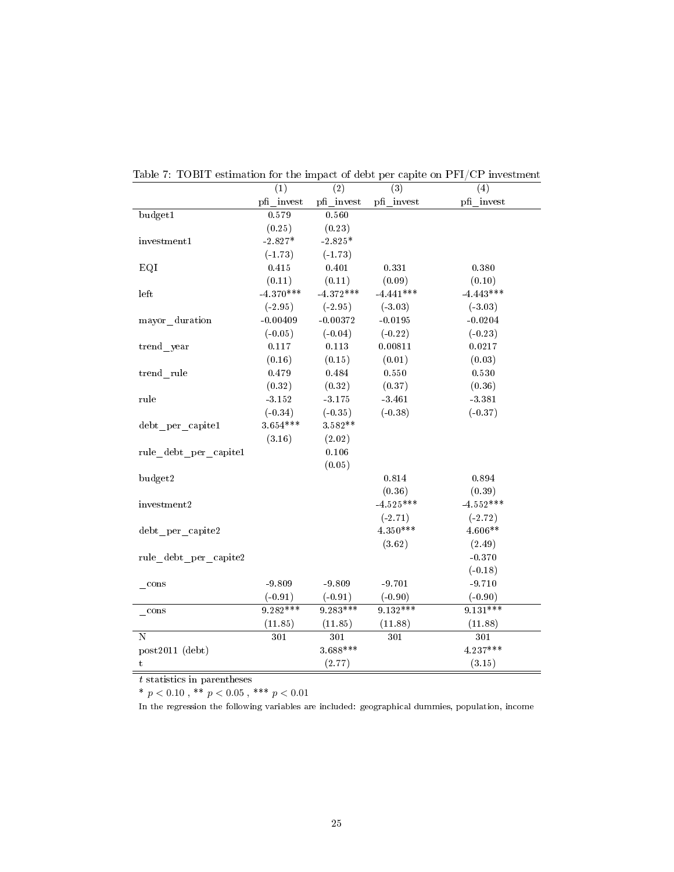|                       | (1)         | (2)         | (3)         | (4)         |
|-----------------------|-------------|-------------|-------------|-------------|
|                       | pfi invest  | pfi invest  | pfi invest  | pfi invest  |
| budget1               | 0.579       | 0.560       |             |             |
|                       | (0.25)      | (0.23)      |             |             |
| invest ment 1         | $-2.827*$   | $-2.825*$   |             |             |
|                       | $(-1.73)$   | $(-1.73)$   |             |             |
| EQI                   | 0.415       | 0.401       | 0.331       | 0.380       |
|                       | (0.11)      | (0.11)      | (0.09)      | (0.10)      |
| left                  | $-4.370***$ | $-4.372***$ | $-4.441***$ | $-4.443***$ |
|                       | $(-2.95)$   | $(-2.95)$   | $(-3.03)$   | $(-3.03)$   |
| mayor duration        | $-0.00409$  | $-0.00372$  | $-0.0195$   | $-0.0204$   |
|                       | $(-0.05)$   | $(-0.04)$   | $(-0.22)$   | $(-0.23)$   |
| trend year            | 0.117       | 0.113       | 0.00811     | 0.0217      |
|                       | (0.16)      | (0.15)      | (0.01)      | (0.03)      |
| trend rule            | 0.479       | 0.484       | 0.550       | 0.530       |
|                       | (0.32)      | (0.32)      | (0.37)      | (0.36)      |
| rule                  | 3.152       | $-3.175$    | $-3.461$    | $-3.381$    |
|                       | $(-0.34)$   | $(-0.35)$   | $(-0.38)$   | $(-0.37)$   |
| debt per capitel      | $3.654***$  | $3.582**$   |             |             |
|                       | (3.16)      | (2.02)      |             |             |
| rule debt per capite1 |             | 0.106       |             |             |
|                       |             | (0.05)      |             |             |
| budget2               |             |             | 0.814       | 0.894       |
|                       |             |             | (0.36)      | (0.39)      |
| invest ment 2         |             |             | $-4.525***$ | $-4.552***$ |
|                       |             |             | $(-2.71)$   | $(-2.72)$   |
| debt per capite2      |             |             | 4.350***    | 4.606**     |
|                       |             |             | (3.62)      | (2.49)      |
| rule debt per capite2 |             |             |             | $-0.370$    |
|                       |             |             |             | $(-0.18)$   |
| cons                  | $-9.809$    | $-9.809$    | $-9.701$    | $-9.710$    |
|                       | $(-0.91)$   | $(-0.91)$   | $(-0.90)$   | $(-0.90)$   |
| $\cos$                | $9.282***$  | $9.283***$  | $9.132***$  | $9.131***$  |
|                       | (11.85)     | (11.85)     | (11.88)     | (11.88)     |
| N                     | 301         | 301         | 301         | 301         |
| $post2011$ (debt)     |             | $3.688***$  |             | 4.237***    |
| t                     |             | (2.77)      |             | (3.15)      |

Table 7: TOBIT estimation for the impact of debt per capite on PFI/CP investment

t statistics in parentheses

 $^{\ast}$   $p$   $<$   $0.10$  ,  $^{\ast\ast}$   $p$   $<$   $0.05$  ,  $^{\ast\ast\ast}$   $p$   $<$   $0.01$ 

In the regression the following variables are included: geographical dummies, population, income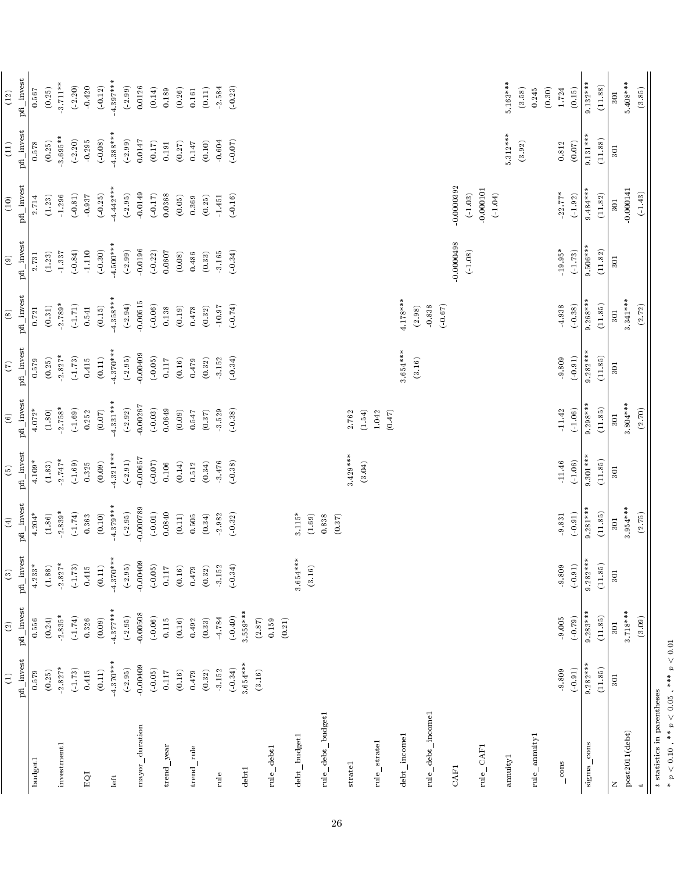|                    | $\bigoplus$ | $\odot$         | $\circledR$          | $\bigoplus$       | $\widehat{\Theta}$        | $\odot$           | $\widetilde{C}$     | $\circledast$       | $\circledcirc$                      | (10)                  | $(11)$       | $(12)$              |
|--------------------|-------------|-----------------|----------------------|-------------------|---------------------------|-------------------|---------------------|---------------------|-------------------------------------|-----------------------|--------------|---------------------|
|                    | pfi invest  | pfi_invest      | pfi_invest           | pfi invest        | pfi_invest                | $pfi\_invest$     | pfi_invest          | pfi_invest          | pfi_invest                          | pfi invest            | $pfi$ invest | pfi_invest          |
| $_{\rm budget1}$   | 0.579       | 0.556           | $4.233*$             | $4.204*$          | $4.109*$                  | $4.072*$          | 0.579               | 0.721               | 2.731                               | 2.714                 | 0.578        | 0.567               |
|                    | (0.25)      | (0.24)          | (1.88)               | (1.86)            | (1.83)                    | (1.80)            | (0.25)              | (0.31)              | (1.23)                              | (1.23)                | (0.25)       | (0.25)              |
| investment1        | $2.827*$    | $2.835*$        | $2.827*$             | $2.839*$          | $2.747*$                  | $2.758*$          | $2.827*$            | $2.789*$            | 1.337                               | 1.296                 | $3.695***$   | $3.711**$           |
|                    | (1.73)      | (1.74)          | (1.73)               | (1.74)            | (1.69)                    | (1.69)            | (1.73)              | (1.71)              | (0.84)                              | $\left( 0.81\right)$  | (2.20)       | (2.20)              |
| EQI                | 0.415       | 0.326           | 0.415                | 0.363             | 0.325                     | 0.252             | 0.415               | 0.541               | $-1.110$                            | 0.937                 | 0.295        | 0.420               |
|                    | $(0.11)$    | (0.09)          | (0.11)               | (0.10)            | (0.09)                    | $(0.07)$          | $(0.11)$            | (0.15)              | $(\mathbf{0.30})$                   | $(\,0.25)$            | $(-0.08)$    | (0.12)              |
| left               | $4.370***$  | $4.377***$      | $4.370***$           | $4.379***$        | $4.321***$                | $4.331***$        | $4.370***$          | $4.358***$          | $4.500***$                          | $4.442***$            | $4.388***$   | $4.397***$          |
|                    | (2.95)      | (2.95)          | (2.95)               | (2.95)            | $(\textcolor{red}{2.91})$ | (2.92)            | (2.95)              | (2.94)              | (.2.99)                             | (2.95)                | (2.99)       | (.2.99)             |
| mayor_duration     | $-0.00409$  | $-0.00508$      | $-0.00409$           | $-0.000789$       | 0.00657                   | 0.00267           | 0.00409             | $-0.00515$          | $-0.0196$                           | $-0.0149$             | $0.0147\,$   | 0.0126              |
|                    | $(-0.05)$   | $(-0.06)$       | (.0.05)              | $(-0.01)$         | (0.07)                    | $(-0.03)$         | $(-0.05)$           | $(-0.06)$           | $(\textcolor{red}{\textbf{-0.22}})$ | (0.17)                | $(0.17)$     | $\left(0.14\right)$ |
| trend_year         | 0.117       | $0.115\,$       | $0.117$              | 0.0840            | $0.106$                   | 0.0649            | 0.117               | 0.138               | 0.0607                              | 0.0368                | $\,0.191$    | 0.189               |
|                    | (0.16)      | (0.16)          | (0.16)               | $(0.11)$          | (0.14)                    | (0.09)            | (0.16)              | (0.19)              | (0.08)                              | (0.05)                | (0.27)       | (0.26)              |
| trend rule         | 0.479       | 0.492           | 0.479                | 0.505             | 0.512                     | 0.547             | 0.479               | 0.478               | 0.486                               | 0.369                 | 0.147        | $\,0.161$           |
|                    | (0.32)      | (0.33)          | (0.32)               | (0.34)            | (0.34)                    | $(0.37)$          | $\left(0.32\right)$ | $\left(0.32\right)$ | (0.33)                              | (0.25)                | (0.10)       | (0.11)              |
| rule               | 3.152       | 4.784           | 3.152                | 2.982             | 3.476                     | 3.529             | 3.152               | 10.97               | 3.165                               | $1.451\,$             | $-0.604$     | 2.584               |
|                    | $(-0.34)$   | $(-0.40)$       | $(-0.34)$            | $(-0.32)$         | (0.38)                    | (0.38)            | (0.34)              | (0.74)              | $(-0.34)$                           | $(-0.16)$             | (0.07)       | (0.23)              |
| debt1              | $3.654***$  | $3.559***$      |                      |                   |                           |                   |                     |                     |                                     |                       |              |                     |
|                    | (3.16)      | (2.87)          |                      |                   |                           |                   |                     |                     |                                     |                       |              |                     |
| rule_debt1         |             | (0.21)<br>0.159 |                      |                   |                           |                   |                     |                     |                                     |                       |              |                     |
|                    |             |                 | $\ast$<br>$3.654***$ | $3.115*$          |                           |                   |                     |                     |                                     |                       |              |                     |
| debt_budget1       |             |                 |                      | (1.69)            |                           |                   |                     |                     |                                     |                       |              |                     |
|                    |             |                 | (3.16)               |                   |                           |                   |                     |                     |                                     |                       |              |                     |
| rule_debt_budget1  |             |                 |                      | $(0.37)$<br>0.838 |                           |                   |                     |                     |                                     |                       |              |                     |
| $\rm started$      |             |                 |                      |                   | $3.429***$                | 2.762             |                     |                     |                                     |                       |              |                     |
|                    |             |                 |                      |                   | (3.04)                    | (1.54)            |                     |                     |                                     |                       |              |                     |
| rule_stratel       |             |                 |                      |                   |                           | $(0.47)$<br>1.042 |                     |                     |                                     |                       |              |                     |
| debt incomel       |             |                 |                      |                   |                           |                   | $3.654***$          | $4.178***$          |                                     |                       |              |                     |
|                    |             |                 |                      |                   |                           |                   | (3.16)              | (2.98)              |                                     |                       |              |                     |
| rule_debt_income1  |             |                 |                      |                   |                           |                   |                     | (0.67)<br>0.838     |                                     |                       |              |                     |
| <b>CAF1</b>        |             |                 |                      |                   |                           |                   |                     |                     | $-0.0000498$                        | 0.0000392             |              |                     |
| rule_CAF1          |             |                 |                      |                   |                           |                   |                     |                     | (1.08)                              | $-0.000101$<br>(1.03) |              |                     |
|                    |             |                 |                      |                   |                           |                   |                     |                     |                                     | (1.04)                |              |                     |
| annuity1           |             |                 |                      |                   |                           |                   |                     |                     |                                     |                       | $5.312***$   | $5.163***$          |
|                    |             |                 |                      |                   |                           |                   |                     |                     |                                     |                       | (3.92)       | (3.58)              |
| rule_annuity1      |             |                 |                      |                   |                           |                   |                     |                     |                                     |                       |              | 0.245               |
|                    |             |                 |                      |                   |                           |                   |                     |                     |                                     |                       |              | (0.30)              |
| $\frac{\cos x}{1}$ | 9.809       | 9.005           | 9.809                | 9.831             | $-11.46$                  | $-11.42$          | 9.809               | 4.938               | $-19.95*$                           | $22.77*$              | 0.812        | 1.724               |
|                    | (0.91)      | (0.79)          | $(\bf 0.91)$         | $(-0.91)$         | (.1.06)                   | (1.06)            | (0.91)              | (0.38)              | (1.73)                              | $(\hbox{-}1.92)$      | (0.07)       | (0.15)              |
| sigma_cons         | $9.282***$  | $9.283***$      | $9.282***$           | $9.281***$        | $9.301***$                | $9.298***$        | $9.282***$          | $9.268***$          | $9.506***$                          | $9.484***$            | $9.131***$   | $9.132***$          |
|                    | (11.85)     | (11.85)         | (11.85)              | (11.85)           | (11.85)                   | (11.85)           | (11.85)             | (11.85)             | (11.82)                             | $(11.82)$             | (11.88)      | (11.88)             |
| Z                  | 301         | 301             | 301                  | 301               | $\overline{301}$          | 301               | 301                 | <b>301</b>          | 301                                 | 301                   | 301          | 301                 |
| post2011(debt)     |             | $3.718***$      |                      | $3.954***$        |                           | $3.804***$        |                     | $3.341***$          |                                     | $-0.000141$           |              | $5.408***$          |
| $\div$             |             | (3.09)          |                      | (2.75)            |                           | (2.70)            |                     | (2.72)              |                                     | (1.43)                |              | (3.85)              |

 statistics in parentheses \*  $p < 0.10$  , \*\*  $p < 0.05$  , \*\*\*  $p < 0.01$ 

 $\ast$